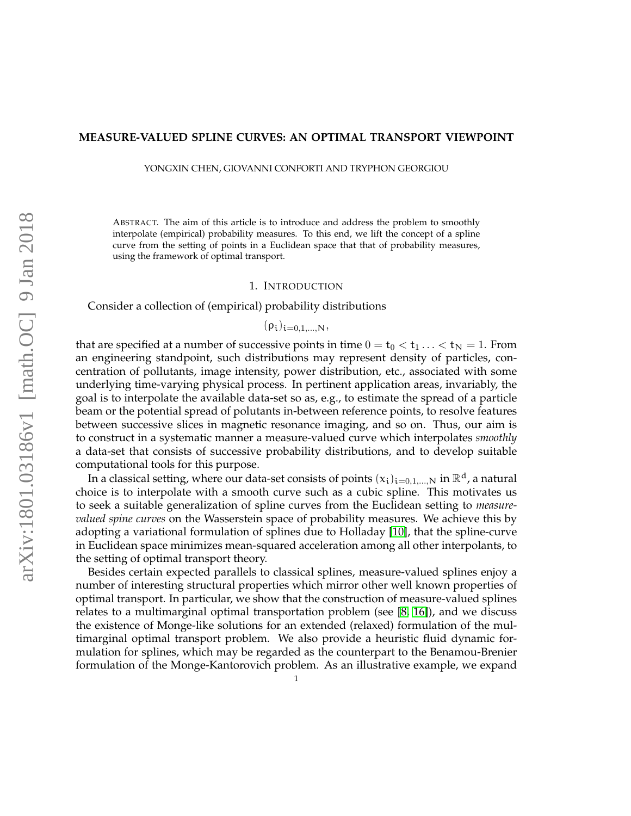#### **MEASURE-VALUED SPLINE CURVES: AN OPTIMAL TRANSPORT VIEWPOINT**

YONGXIN CHEN, GIOVANNI CONFORTI AND TRYPHON GEORGIOU

ABSTRACT. The aim of this article is to introduce and address the problem to smoothly interpolate (empirical) probability measures. To this end, we lift the concept of a spline curve from the setting of points in a Euclidean space that that of probability measures, using the framework of optimal transport.

#### 1. INTRODUCTION

Consider a collection of (empirical) probability distributions

$$
(\rho_i)_{i=0,1,\ldots,N},
$$

that are specified at a number of successive points in time  $0 = t_0 < t_1 ... < t_N = 1$ . From an engineering standpoint, such distributions may represent density of particles, concentration of pollutants, image intensity, power distribution, etc., associated with some underlying time-varying physical process. In pertinent application areas, invariably, the goal is to interpolate the available data-set so as, e.g., to estimate the spread of a particle beam or the potential spread of polutants in-between reference points, to resolve features between successive slices in magnetic resonance imaging, and so on. Thus, our aim is to construct in a systematic manner a measure-valued curve which interpolates *smoothly* a data-set that consists of successive probability distributions, and to develop suitable computational tools for this purpose.

In a classical setting, where our data-set consists of points  $(x_i)_{i=0,1,...,N}$  in  $\mathbb{R}^d$ , a natural choice is to interpolate with a smooth curve such as a cubic spline. This motivates us to seek a suitable generalization of spline curves from the Euclidean setting to *measurevalued spine curves* on the Wasserstein space of probability measures. We achieve this by adopting a variational formulation of splines due to Holladay [\[10\]](#page-21-0), that the spline-curve in Euclidean space minimizes mean-squared acceleration among all other interpolants, to the setting of optimal transport theory.

Besides certain expected parallels to classical splines, measure-valued splines enjoy a number of interesting structural properties which mirror other well known properties of optimal transport. In particular, we show that the construction of measure-valued splines relates to a multimarginal optimal transportation problem (see [\[8,](#page-21-1) [16\]](#page-21-2)), and we discuss the existence of Monge-like solutions for an extended (relaxed) formulation of the multimarginal optimal transport problem. We also provide a heuristic fluid dynamic formulation for splines, which may be regarded as the counterpart to the Benamou-Brenier formulation of the Monge-Kantorovich problem. As an illustrative example, we expand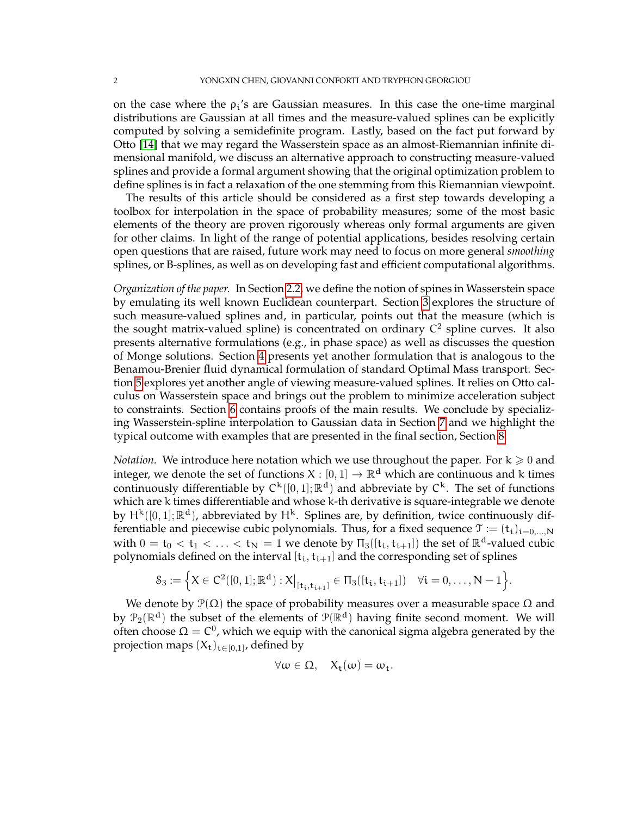on the case where the  $\rho_i$ 's are Gaussian measures. In this case the one-time marginal distributions are Gaussian at all times and the measure-valued splines can be explicitly computed by solving a semidefinite program. Lastly, based on the fact put forward by Otto [\[14\]](#page-21-3) that we may regard the Wasserstein space as an almost-Riemannian infinite dimensional manifold, we discuss an alternative approach to constructing measure-valued splines and provide a formal argument showing that the original optimization problem to define splines is in fact a relaxation of the one stemming from this Riemannian viewpoint.

The results of this article should be considered as a first step towards developing a toolbox for interpolation in the space of probability measures; some of the most basic elements of the theory are proven rigorously whereas only formal arguments are given for other claims. In light of the range of potential applications, besides resolving certain open questions that are raised, future work may need to focus on more general *smoothing* splines, or B-splines, as well as on developing fast and efficient computational algorithms.

*Organization of the paper.* In Section [2.2,](#page-2-0) we define the notion of spines in Wasserstein space by emulating its well known Euclidean counterpart. Section [3](#page-3-0) explores the structure of such measure-valued splines and, in particular, points out that the measure (which is the sought matrix-valued spline) is concentrated on ordinary  $C^2$  spline curves. It also presents alternative formulations (e.g., in phase space) as well as discusses the question of Monge solutions. Section [4](#page-7-0) presents yet another formulation that is analogous to the Benamou-Brenier fluid dynamical formulation of standard Optimal Mass transport. Section [5](#page-9-0) explores yet another angle of viewing measure-valued splines. It relies on Otto calculus on Wasserstein space and brings out the problem to minimize acceleration subject to constraints. Section [6](#page-11-0) contains proofs of the main results. We conclude by specializing Wasserstein-spline interpolation to Gaussian data in Section [7](#page-16-0) and we highlight the typical outcome with examples that are presented in the final section, Section [8.](#page-19-0)

*Notation.* We introduce here notation which we use throughout the paper. For  $k \geq 0$  and integer, we denote the set of functions  $X : [0,1] \to \mathbb{R}^d$  which are continuous and k times continuously differentiable by  $C^k([0,1];\mathbb{R}^d)$  and abbreviate by  $C^k$ . The set of functions which are k times differentiable and whose k-th derivative is square-integrable we denote by  $H^k([0,1];\mathbb{R}^d)$ , abbreviated by  $H^k$ . Splines are, by definition, twice continuously differentiable and piecewise cubic polynomials. Thus, for a fixed sequence  $\mathcal{T} := (t_i)_{i=0,\dots,N}$ with  $0 = t_0 < t_1 < \ldots < t_N = 1$  we denote by  $\Pi_3([\mathbf{t}_i, \mathbf{t}_{i+1}])$  the set of  $\mathbb{R}^d$ -valued cubic polynomials defined on the interval  $[t_i, t_{i+1}]$  and the corresponding set of splines

$$
\mathcal{S}_3:=\Big\{X\in C^2([0,1];\mathbb{R}^d):X\big|_{[t_i,t_{i+1}]}\in\Pi_3([t_i,t_{i+1}])\quad\forall i=0,\ldots,N-1\Big\}.
$$

We denote by  $\mathcal{P}(\Omega)$  the space of probability measures over a measurable space  $\Omega$  and by  $\mathcal{P}_2(\mathbb{R}^d)$  the subset of the elements of  $\mathcal{P}(\mathbb{R}^d)$  having finite second moment. We will often choose  $\Omega = C^0$ , which we equip with the canonical sigma algebra generated by the projection maps  $(X_t)_{t\in [0,1]}$ , defined by

$$
\forall \omega \in \Omega, \quad X_t(\omega) = \omega_t.
$$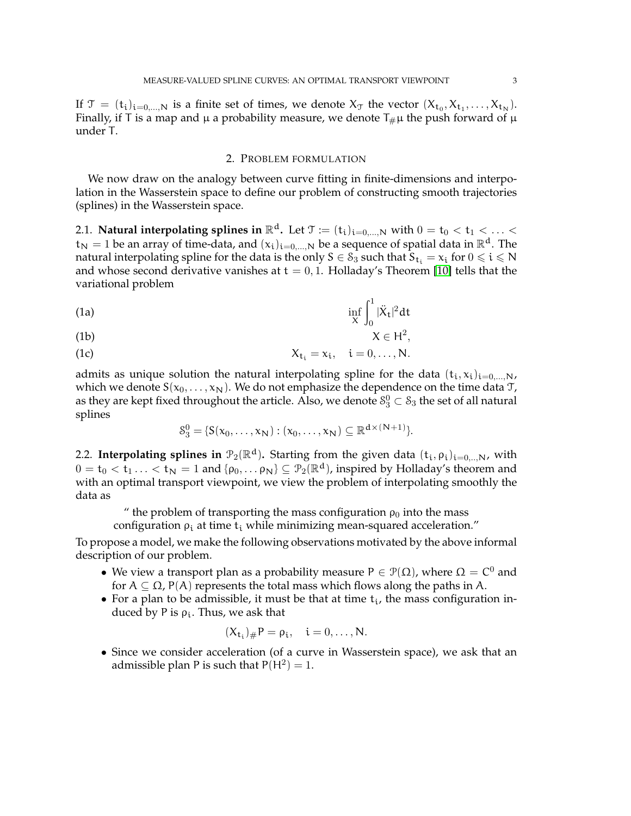If  $\mathcal{T} = (t_i)_{i=0,\dots,N}$  is a finite set of times, we denote  $X_{\mathcal{T}}$  the vector  $(X_{t_0}, X_{t_1}, \dots, X_{t_N})$ . Finally, if T is a map and  $\mu$  a probability measure, we denote  $T_{\#}\mu$  the push forward of  $\mu$ under T.

# 2. PROBLEM FORMULATION

We now draw on the analogy between curve fitting in finite-dimensions and interpolation in the Wasserstein space to define our problem of constructing smooth trajectories (splines) in the Wasserstein space.

2.1. **Natural interpolating splines in**  $\mathbb{R}^d$ **.** Let  $\mathcal{T} := (t_i)_{i=0,\dots,N}$  with  $0 = t_0 < t_1 < \dots <$  $t_N = 1$  be an array of time-data, and  $(x_i)_{i=0,\dots,N}$  be a sequence of spatial data in  $\mathbb{R}^d$ . The natural interpolating spline for the data is the only  $S \in \mathcal{S}_3$  such that  $\overline{S_{t_i}} = x_i$  for  $0 \leqslant i \leqslant N$ and whose second derivative vanishes at  $t = 0, 1$ . Holladay's Theorem [\[10\]](#page-21-0) tells that the variational problem

<span id="page-2-1"></span>
$$
\inf_{\mathbf{X}} \int_0^1 |\ddot{\mathbf{X}}_t|^2 dt
$$

$$
X \in H^2,
$$

$$
X_{t_i} = x_i, \quad i = 0, \ldots, N.
$$

admits as unique solution the natural interpolating spline for the data  $(t_i, x_i)_{i=0,...,N}$ , which we denote  $S(x_0, \ldots, x_N)$ . We do not emphasize the dependence on the time data T, as they are kept fixed throughout the article. Also, we denote  $\delta^0_3 \subset \delta_3$  the set of all natural splines

$$
\mathcal{S}_3^0 = \{ S(x_0, \ldots, x_N) : (x_0, \ldots, x_N) \subseteq \mathbb{R}^{d \times (N+1)} \}.
$$

<span id="page-2-0"></span>2.2. **Interpolating splines in**  $\mathcal{P}_2(\mathbb{R}^d)$ . Starting from the given data  $(t_i, \rho_i)_{i=0, \dots, N}$ , with  $0 = t_0 < t_1 ... < t_N = 1$  and  $\{\rho_0, ..., \rho_N\} \subseteq \mathcal{P}_2(\mathbb{R}^d)$ , inspired by Holladay's theorem and with an optimal transport viewpoint, we view the problem of interpolating smoothly the data as

" the problem of transporting the mass configuration  $\rho_0$  into the mass

configuration  $\rho_i$  at time t<sub>i</sub> while minimizing mean-squared acceleration."

To propose a model, we make the following observations motivated by the above informal description of our problem.

- We view a transport plan as a probability measure  $P \in \mathcal{P}(\Omega)$ , where  $\Omega = C^0$  and for  $A \subseteq \Omega$ , P(A) represents the total mass which flows along the paths in A.
- For a plan to be admissible, it must be that at time  $t_i$ , the mass configuration induced by P is  $\rho_i$ . Thus, we ask that

$$
(X_{t_i})_{\#}P=\rho_i,\quad i=0,\ldots,N.
$$

• Since we consider acceleration (of a curve in Wasserstein space), we ask that an admissible plan P is such that  $P(H^2) = 1$ .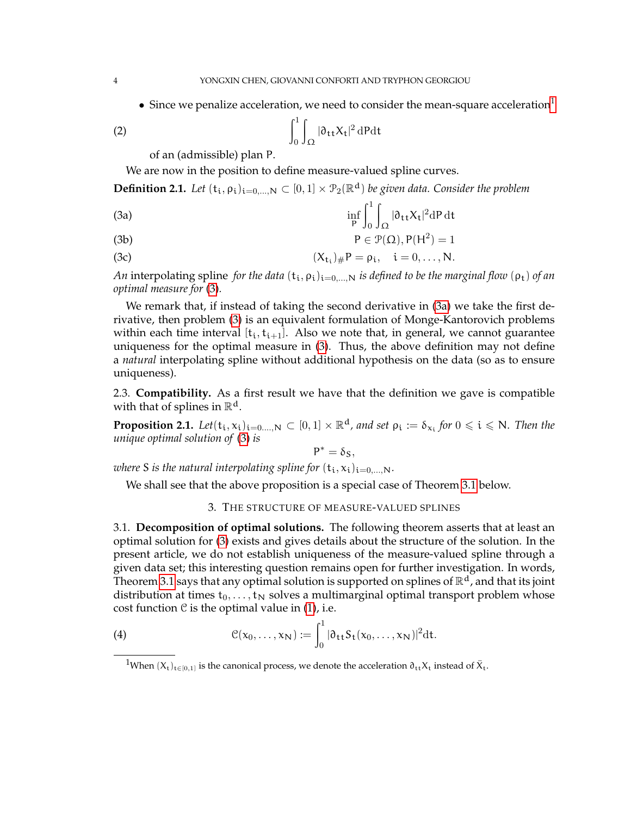• Since we penalize acceleration, we need to consider the mean-square acceleration

(2) 
$$
\int_0^1 \int_{\Omega} |\partial_{tt} X_t|^2 dP dt
$$

of an (admissible) plan P.

We are now in the position to define measure-valued spline curves.

**Definition 2.1.** Let  $(t_i, \rho_i)_{i=0,\dots,N} \subset [0,1] \times \mathcal{P}_2(\mathbb{R}^d)$  be given data. Consider the problem

<span id="page-3-3"></span>(3a) 
$$
\inf_{P} \int_0^1 \int_{\Omega} |\partial_{tt} X_t|^2 dP dt
$$

(3b) 
$$
P \in \mathcal{P}(\Omega), P(H^2) = 1
$$

(3c) 
$$
(X_{t_i})_{\#}P = \rho_i, \quad i = 0,..., N.
$$

*An* interpolating spline *for the data*  $(t_i, \rho_i)_{i=0,...,N}$  *is defined to be the marginal flow*  $(\rho_t)$  *of an optimal measure for* [\(3\)](#page-3-2)*.*

We remark that, if instead of taking the second derivative in [\(3a\)](#page-3-3) we take the first derivative, then problem [\(3\)](#page-3-2) is an equivalent formulation of Monge-Kantorovich problems within each time interval  $[t_i, t_{i+1}]$ . Also we note that, in general, we cannot guarantee uniqueness for the optimal measure in [\(3\)](#page-3-2). Thus, the above definition may not define a *natural* interpolating spline without additional hypothesis on the data (so as to ensure uniqueness).

2.3. **Compatibility.** As a first result we have that the definition we gave is compatible with that of splines in  $\mathbb{R}^d$ .

**Proposition 2.1.** Let $(t_i, x_i)_{i=0,\dots,N} \subset [0,1] \times \mathbb{R}^d$ , and set  $\rho_i := \delta_{x_i}$  for  $0 \leq i \leq N$ . Then the *unique optimal solution of* [\(3\)](#page-3-2) *is*

<span id="page-3-2"></span>
$$
P^*=\delta_S,
$$

*where* S *is the natural interpolating spline for*  $(t_i, x_i)_{i=0,\dots,N}$ .

We shall see that the above proposition is a special case of Theorem [3.1](#page-4-0) below.

## 3. THE STRUCTURE OF MEASURE-VALUED SPLINES

<span id="page-3-0"></span>3.1. **Decomposition of optimal solutions.** The following theorem asserts that at least an optimal solution for [\(3\)](#page-3-2) exists and gives details about the structure of the solution. In the present article, we do not establish uniqueness of the measure-valued spline through a given data set; this interesting question remains open for further investigation. In words, Theorem [3.1](#page-4-0) says that any optimal solution is supported on splines of  $\mathbb{R}^d$ , and that its joint distribution at times  $t_0, \ldots, t_N$  solves a multimarginal optimal transport problem whose cost function  $\mathcal C$  is the optimal value in [\(1\)](#page-2-1), i.e.

(4) 
$$
\mathcal{C}(x_0,\ldots,x_N):=\int_0^1|\partial_{tt}S_t(x_0,\ldots,x_N)|^2dt.
$$

<span id="page-3-4"></span><span id="page-3-1"></span><sup>&</sup>lt;sup>1</sup>When  $(X_t)_{t \in [0,1]}$  is the canonical process, we denote the acceleration  $\partial_{tt} X_t$  instead of  $\ddot{X}_t$ .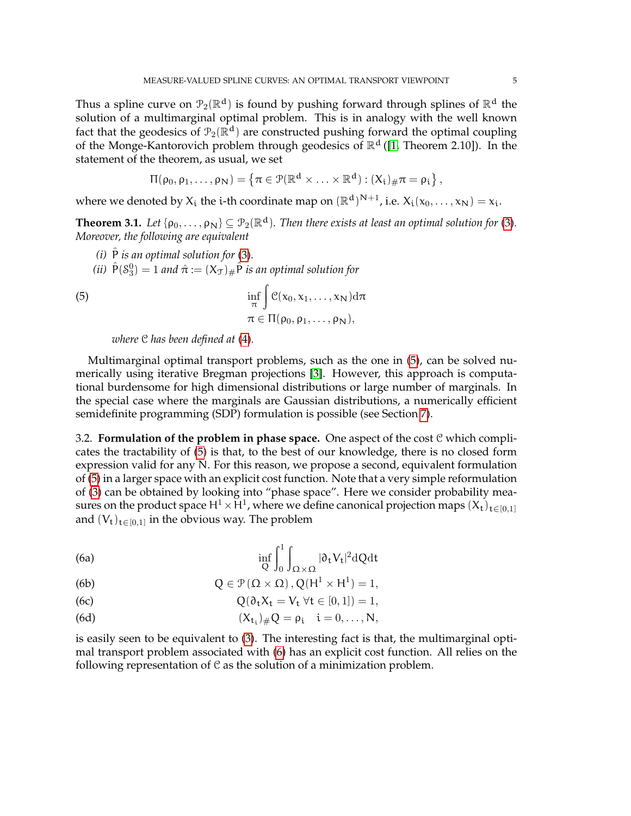Thus a spline curve on  $\mathcal{P}_2(\mathbb{R}^d)$  is found by pushing forward through splines of  $\mathbb{R}^d$  the solution of a multimarginal optimal problem. This is in analogy with the well known fact that the geodesics of  $\mathcal{P}_2(\mathbb{R}^d)$  are constructed pushing forward the optimal coupling of the Monge-Kantorovich problem through geodesics of  $\mathbb{R}^d$  ([\[1,](#page-20-0) Theorem 2.10]). In the statement of the theorem, as usual, we set

$$
\Pi(\rho_0,\rho_1,\ldots,\rho_N)=\left\{\pi\in\mathcal{P}(\mathbb{R}^d\times\ldots\times\mathbb{R}^d):(X_i)_{\#}\pi=\rho_i\right\},
$$

where we denoted by  $X_i$  the i-th coordinate map on  $(\mathbb{R}^d)^{N+1}$ , i.e.  $X_i(x_0,\ldots,x_N) = x_i$ .

<span id="page-4-0"></span>**Theorem 3.1.** Let  $\{ \rho_0, \ldots, \rho_N \} \subseteq \mathcal{P}_2(\mathbb{R}^d)$ . Then there exists at least an optimal solution for [\(3\)](#page-3-2). *Moreover, the following are equivalent*

- <span id="page-4-4"></span> $(i)$   $\hat{P}$  *is an optimal solution for* [\(3\)](#page-3-2).
- <span id="page-4-3"></span>(*ii*)  $\hat{P}(\delta_3^0) = 1$  and  $\hat{\pi} := (X_{\mathcal{T}})_{\#} \hat{P}$  *is an optimal solution for*

(5) 
$$
\inf_{\pi} \int \mathcal{C}(x_0, x_1, \dots, x_N) d\pi \n\pi \in \Pi(\rho_0, \rho_1, \dots, \rho_N),
$$

<span id="page-4-1"></span>*where* C *has been defined at* [\(4\)](#page-3-4)*.*

Multimarginal optimal transport problems, such as the one in [\(5\)](#page-4-1), can be solved numerically using iterative Bregman projections [\[3\]](#page-20-1). However, this approach is computational burdensome for high dimensional distributions or large number of marginals. In the special case where the marginals are Gaussian distributions, a numerically efficient semidefinite programming (SDP) formulation is possible (see Section [7\)](#page-16-0).

<span id="page-4-5"></span>3.2. **Formulation of the problem in phase space.** One aspect of the cost C which complicates the tractability of [\(5\)](#page-4-1) is that, to the best of our knowledge, there is no closed form expression valid for any N. For this reason, we propose a second, equivalent formulation of [\(5\)](#page-4-1) in a larger space with an explicit cost function. Note that a very simple reformulation of [\(3\)](#page-3-2) can be obtained by looking into "phase space". Here we consider probability measures on the product space  $H^1 \times H^1$ , where we define canonical projection maps  $(X_t)_{t \in [0,1]}$ and  $(V_t)_{t \in [0,1]}$  in the obvious way. The problem

<span id="page-4-2"></span>(6a) 
$$
\inf_{Q} \int_{0}^{1} \int_{\Omega \times \Omega} |\partial_{t} V_{t}|^{2} dQ dt
$$

(6b) 
$$
Q \in \mathcal{P}(\Omega \times \Omega), Q(H^1 \times H^1) = 1,
$$

(6c) 
$$
Q(\partial_t X_t = V_t \ \forall t \in [0,1]) = 1,
$$

(6d) 
$$
(X_{t_i})_{\#}Q = \rho_i \quad i = 0, ..., N,
$$

is easily seen to be equivalent to [\(3\)](#page-3-2). The interesting fact is that, the multimarginal optimal transport problem associated with [\(6\)](#page-4-2) has an explicit cost function. All relies on the following representation of  $\mathcal C$  as the solution of a minimization problem.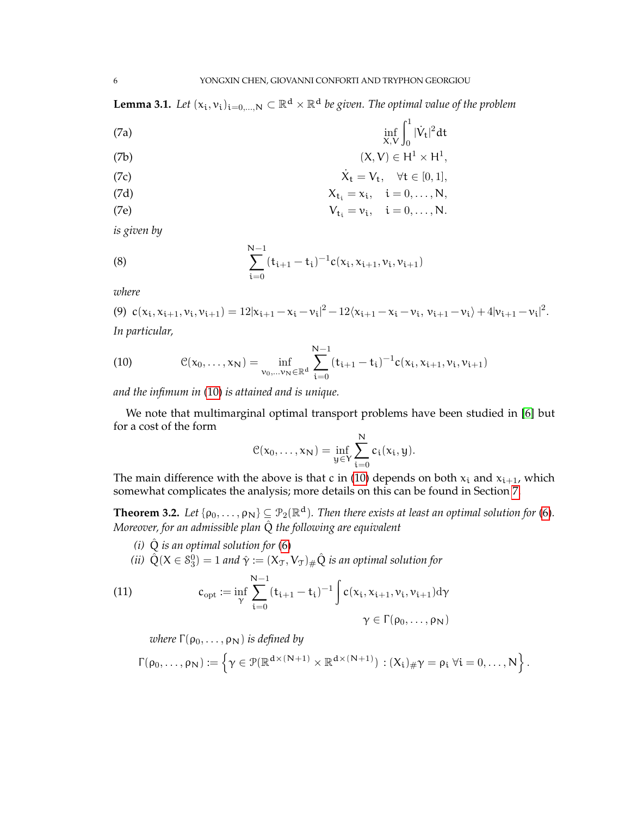<span id="page-5-5"></span><span id="page-5-4"></span>**Lemma 3.1.** Let  $(x_i, v_i)_{i=0,...,N} \subset \mathbb{R}^d \times \mathbb{R}^d$  be given. The optimal value of the problem

(7a) 
$$
\inf_{X,V} \int_0^1 |\dot{V}_t|^2 dt
$$

$$
(7b) \t\t (X,V) \in H^1 \times H^1,
$$

(7c) 
$$
\dot{X}_t = V_t, \quad \forall t \in [0, 1],
$$

$$
X_{t_i} = x_i, \quad i = 0, \ldots, N,
$$

(7e) 
$$
V_{t_i} = v_i, \quad i = 0, \ldots, N.
$$

*is given by*

<span id="page-5-6"></span>(8) 
$$
\sum_{i=0}^{N-1} (t_{i+1} - t_i)^{-1} c(x_i, x_{i+1}, v_i, v_{i+1})
$$

*where*

<span id="page-5-7"></span>(9)  $c(x_i, x_{i+1}, v_i, v_{i+1}) = 12|x_{i+1} - x_i - v_i|^2 - 12\langle x_{i+1} - x_i - v_i, v_{i+1} - v_i \rangle + 4|v_{i+1} - v_i|^2$ . *In particular,*

<span id="page-5-0"></span>(10) 
$$
\mathcal{C}(x_0,\ldots,x_N) = \inf_{\mathbf{v}_0,\ldots,\mathbf{v}_N \in \mathbb{R}^d} \sum_{i=0}^{N-1} (t_{i+1} - t_i)^{-1} c(x_i,x_{i+1},\mathbf{v}_i,\mathbf{v}_{i+1})
$$

*and the infimum in* [\(10\)](#page-5-0) *is attained and is unique.*

We note that multimarginal optimal transport problems have been studied in [\[6\]](#page-21-4) but for a cost of the form

$$
\mathcal{C}(x_0,\ldots,x_N)=\inf_{y\in Y}\sum_{i=0}^N c_i(x_i,y).
$$

The main difference with the above is that c in [\(10\)](#page-5-0) depends on both  $x_i$  and  $x_{i+1}$ , which somewhat complicates the analysis; more details on this can be found in Section [7.](#page-16-0)

<span id="page-5-3"></span>**Theorem 3.2.** Let  $\{ \rho_0, \ldots, \rho_N \} \subseteq \mathcal{P}_2(\mathbb{R}^d)$ . Then there exists at least an optimal solution for [\(6\)](#page-4-2). *Moreover, for an admissible plan*  $\hat{Q}$  *the following are equivalent* 

*(i)*  $\hat{Q}$  *is an optimal solution for* [\(6\)](#page-4-2)

<span id="page-5-2"></span>(*ii*)  $\hat{Q}(X \in \mathcal{S}_3^0) = 1$  and  $\hat{\gamma} := (X_{\mathcal{T}}, V_{\mathcal{T}})_\# \hat{Q}$  *is an optimal solution for* 

(11) 
$$
c_{opt} := \inf_{\gamma} \sum_{i=0}^{N-1} (t_{i+1} - t_i)^{-1} \int c(x_i, x_{i+1}, v_i, v_{i+1}) d\gamma
$$

$$
\gamma \in \Gamma(\rho_0, ..., \rho_N)
$$

<span id="page-5-1"></span>*where*  $\Gamma(\rho_0, \ldots, \rho_N)$  *is defined by* 

$$
\Gamma(\rho_0,\ldots,\rho_N):=\left\{\gamma\in\mathcal{P}(\mathbb{R}^{d\times (N+1)}\times\mathbb{R}^{d\times (N+1)}):(X_i)_{\#}\gamma=\rho_i\;\forall i=0,\ldots,N\right\}.
$$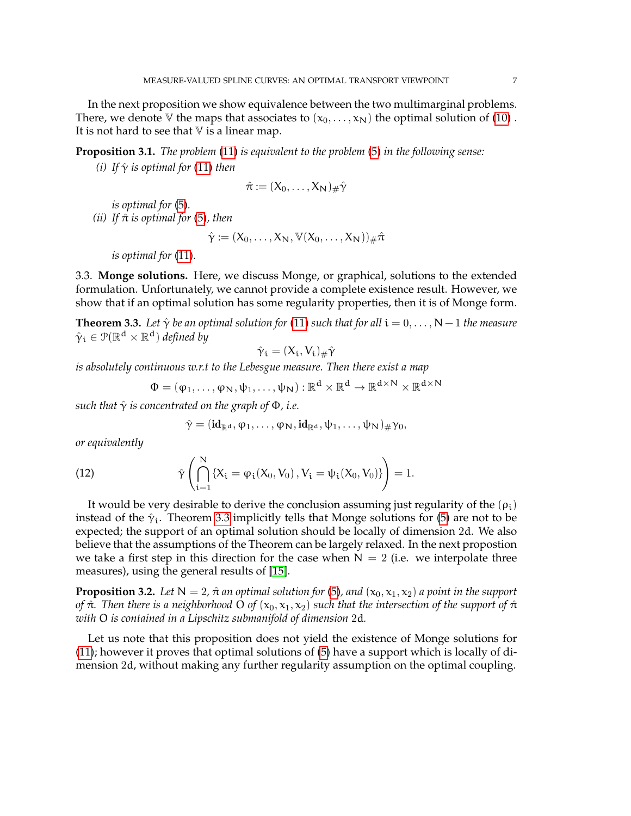In the next proposition we show equivalence between the two multimarginal problems. There, we denote V the maps that associates to  $(x_0, \ldots, x_N)$  the optimal solution of [\(10\)](#page-5-0). It is not hard to see that  $V$  is a linear map.

<span id="page-6-2"></span><span id="page-6-1"></span>**Proposition 3.1.** *The problem* [\(11\)](#page-5-1) *is equivalent to the problem* [\(5\)](#page-4-1) *in the following sense:*

*(i) If*  $\hat{\gamma}$  *is optimal for* [\(11\)](#page-5-1) *then* 

$$
\hat{\pi} := (X_0, \ldots, X_N)_{\#} \hat{\gamma}
$$

*is optimal for* [\(5\)](#page-4-1)*. (ii) If*  $\hat{\pi}$  *is optimal for* [\(5\)](#page-4-1)*, then* 

$$
\hat{\gamma} := (X_0, \ldots, X_N, \mathbb{V}(X_0, \ldots, X_N))_{\#} \hat{\pi}
$$

*is optimal for* [\(11\)](#page-5-1)*.*

3.3. **Monge solutions.** Here, we discuss Monge, or graphical, solutions to the extended formulation. Unfortunately, we cannot provide a complete existence result. However, we show that if an optimal solution has some regularity properties, then it is of Monge form.

<span id="page-6-0"></span>**Theorem 3.3.** *Let*  $\hat{\gamma}$  *be an optimal solution for* [\(11\)](#page-5-1) *such that for all*  $i = 0, ..., N - 1$  *the measure*  $\hat{\gamma}_\mathfrak{i}\in \mathcal{P}(\mathbb{R}^\mathfrak{d}\times \mathbb{R}^\mathfrak{d})$  defined by

$$
\hat{\gamma}_i = (X_i, V_i)_{\#} \hat{\gamma}
$$

*is absolutely continuous w.r.t to the Lebesgue measure. Then there exist a map*

$$
\Phi=(\phi_1,\ldots,\phi_N,\psi_1,\ldots,\psi_N):\mathbb{R}^d\times\mathbb{R}^d\to\mathbb{R}^{d\times N}\times\mathbb{R}^{d\times N}
$$

*such that*  $\hat{\gamma}$  *is concentrated on the graph of*  $\Phi$ *, i.e.* 

$$
\hat{\gamma} = (\mathbf{id}_{\mathbb{R}^{\mathbf{d}}}, \phi_1, \dots, \phi_N, \mathbf{id}_{\mathbb{R}^{\mathbf{d}}}, \psi_1, \dots, \psi_N)_{\#} \gamma_0,
$$

*or equivalently*

(12) 
$$
\hat{\gamma}\left(\bigcap_{i=1}^{N} \{X_{i} = \varphi_{i}(X_{0}, V_{0}), V_{i} = \psi_{i}(X_{0}, V_{0})\}\right) = 1.
$$

It would be very desirable to derive the conclusion assuming just regularity of the  $(\rho_i)$ instead of the  $\hat{\gamma}_i$ . Theorem [3.3](#page-6-0) implicitly tells that Monge solutions for [\(5\)](#page-4-1) are not to be expected; the support of an optimal solution should be locally of dimension 2d. We also believe that the assumptions of the Theorem can be largely relaxed. In the next propostion we take a first step in this direction for the case when  $N = 2$  (i.e. we interpolate three measures), using the general results of [\[15\]](#page-21-5).

<span id="page-6-3"></span>**Proposition 3.2.** *Let*  $N = 2$ ,  $\hat{\pi}$  *an optimal solution for* [\(5\)](#page-4-1), *and* ( $x_0, x_1, x_2$ ) *a point in the support of*  $\hat{\pi}$ *. Then there is a neighborhood* O *of* ( $x_0, x_1, x_2$ ) *such that the intersection of the support of*  $\hat{\pi}$ *with* O *is contained in a Lipschitz submanifold of dimension* 2d*.*

Let us note that this proposition does not yield the existence of Monge solutions for [\(11\)](#page-5-1); however it proves that optimal solutions of [\(5\)](#page-4-1) have a support which is locally of dimension 2d, without making any further regularity assumption on the optimal coupling.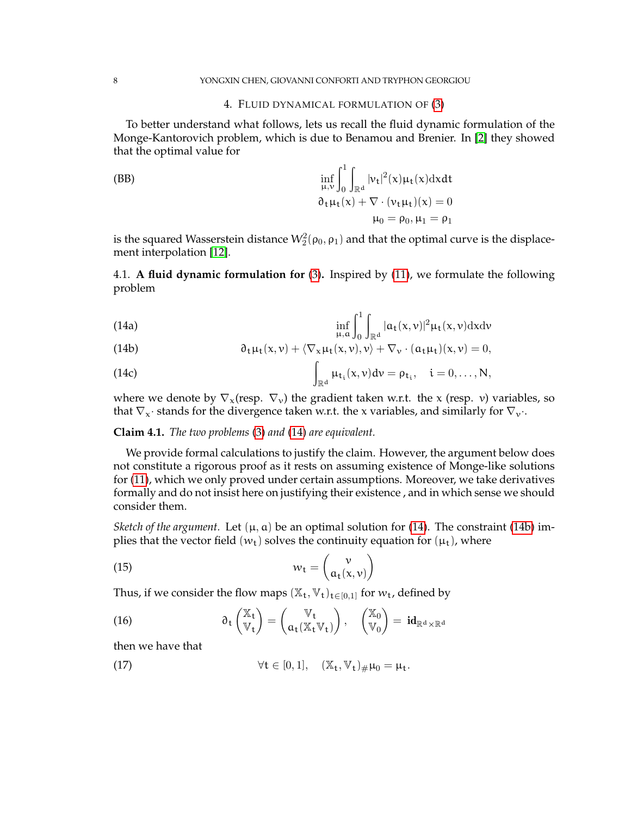### 4. FLUID DYNAMICAL FORMULATION OF [\(3\)](#page-3-2)

<span id="page-7-0"></span>To better understand what follows, lets us recall the fluid dynamic formulation of the Monge-Kantorovich problem, which is due to Benamou and Brenier. In [\[2\]](#page-20-2) they showed that the optimal value for

<span id="page-7-8"></span>(BB)  
\n
$$
\inf_{\mu,\nu}\int_0^1\int_{\mathbb{R}^d}|\nu_t|^2(x)\mu_t(x)dxdt
$$
\n
$$
\partial_t\mu_t(x) + \nabla \cdot (\nu_t\mu_t)(x) = 0
$$
\n
$$
\mu_0 = \rho_0, \mu_1 = \rho_1
$$

is the squared Wasserstein distance  $\mathcal{W}_2^2(\rho_0,\rho_1)$  and that the optimal curve is the displacement interpolation [\[12\]](#page-21-6).

4.1. **A fluid dynamic formulation for** [\(3\)](#page-3-2)**.** Inspired by [\(11\)](#page-5-1), we formulate the following problem

<span id="page-7-6"></span><span id="page-7-1"></span>(14a) 
$$
\inf_{\mu, \alpha} \int_0^1 \int_{\mathbb{R}^d} |a_t(x, v)|^2 \mu_t(x, v) dx dv
$$

<span id="page-7-2"></span>(14b) 
$$
\partial_t \mu_t(x, v) + \langle \nabla_x \mu_t(x, v), v \rangle + \nabla_v \cdot (a_t \mu_t)(x, v) = 0,
$$

<span id="page-7-3"></span>(14c) 
$$
\int_{\mathbb{R}^d} \mu_{t_i}(x,v) dv = \rho_{t_i}, \quad i = 0,\ldots,N,
$$

where we denote by  $\nabla_{\mathbf{x}}$  (resp.  $\nabla_{\mathbf{v}}$ ) the gradient taken w.r.t. the x (resp. v) variables, so that  $\nabla_x \cdot$  stands for the divergence taken w.r.t. the x variables, and similarly for  $\nabla_y \cdot$ .

## **Claim 4.1.** *The two problems* [\(3\)](#page-3-2) *and* [\(14\)](#page-7-1) *are equivalent.*

We provide formal calculations to justify the claim. However, the argument below does not constitute a rigorous proof as it rests on assuming existence of Monge-like solutions for [\(11\)](#page-5-1), which we only proved under certain assumptions. Moreover, we take derivatives formally and do not insist here on justifying their existence , and in which sense we should consider them.

*Sketch of the argument.* Let  $(\mu, a)$  be an optimal solution for [\(14\)](#page-7-1). The constraint [\(14b\)](#page-7-2) implies that the vector field  $(w_t)$  solves the continuity equation for  $(\mu_t)$ , where

<span id="page-7-7"></span>(15) 
$$
w_t = \begin{pmatrix} v \\ a_t(x,v) \end{pmatrix}
$$

Thus, if we consider the flow maps  $(\mathbb{X}_t, \mathbb{V}_t)_{t \in [0,1]}$  for  $w_t$ , defined by

<span id="page-7-4"></span>(16) 
$$
\partial_t \begin{pmatrix} \mathbb{X}_t \\ \mathbb{V}_t \end{pmatrix} = \begin{pmatrix} \mathbb{V}_t \\ \alpha_t(\mathbb{X}_t \mathbb{V}_t) \end{pmatrix}, \quad \begin{pmatrix} \mathbb{X}_0 \\ \mathbb{V}_0 \end{pmatrix} = id_{\mathbb{R}^d \times \mathbb{R}^d}
$$

<span id="page-7-5"></span>then we have that

(17) 
$$
\forall t \in [0,1], \quad (\mathbb{X}_t, \mathbb{V}_t)_{\#} \mu_0 = \mu_t.
$$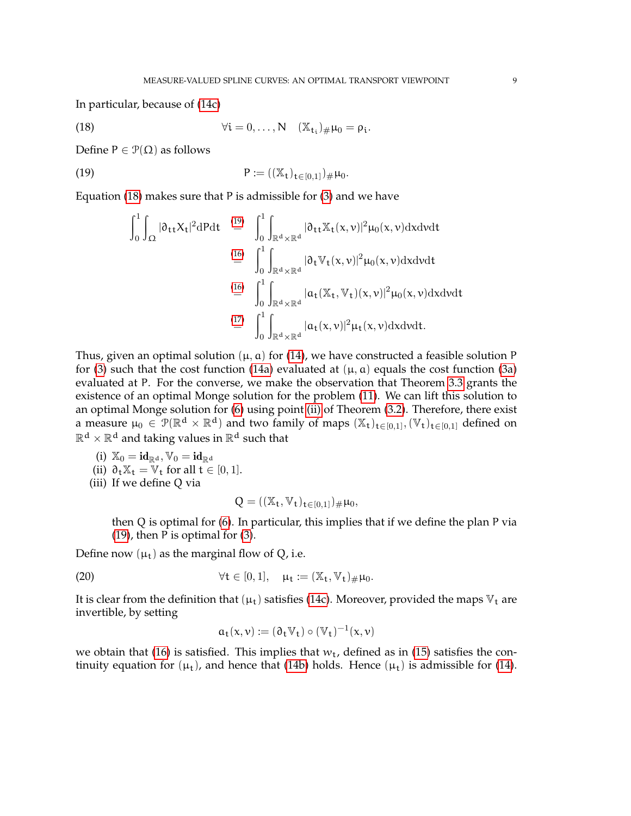In particular, because of [\(14c\)](#page-7-3)

(18) 
$$
\forall i = 0,\ldots,N \quad (\mathbb{X}_{t_i})_{\#} \mu_0 = \rho_i.
$$

Define  $P \in \mathcal{P}(\Omega)$  as follows

(19) 
$$
P := ((\mathbb{X}_{t})_{t \in [0,1]})_{\#} \mu_{0}.
$$

Equation [\(18\)](#page-8-0) makes sure that P is admissible for [\(3\)](#page-3-2) and we have

<span id="page-8-1"></span><span id="page-8-0"></span>
$$
\int_{0}^{1} \int_{\Omega} |\partial_{tt}X_t|^2 dP dt \stackrel{\text{(19)}}{=} \int_{0}^{1} \int_{\mathbb{R}^d \times \mathbb{R}^d} |\partial_{tt}X_t(x,v)|^2 \mu_0(x,v) dx dv dt
$$
\n
$$
\stackrel{\text{(16)}}{=} \int_{0}^{1} \int_{\mathbb{R}^d \times \mathbb{R}^d} |\partial_t \mathbb{V}_t(x,v)|^2 \mu_0(x,v) dx dv dt
$$
\n
$$
\stackrel{\text{(16)}}{=} \int_{0}^{1} \int_{\mathbb{R}^d \times \mathbb{R}^d} |\alpha_t(\mathbb{X}_t, \mathbb{V}_t)(x,v)|^2 \mu_0(x,v) dx dv dt
$$
\n
$$
\stackrel{\text{(17)}}{=} \int_{0}^{1} \int_{\mathbb{R}^d \times \mathbb{R}^d} |\alpha_t(x,v)|^2 \mu_t(x,v) dx dv dt.
$$

Thus, given an optimal solution  $(\mu, a)$  for [\(14\)](#page-7-1), we have constructed a feasible solution P for [\(3\)](#page-3-2) such that the cost function [\(14a\)](#page-7-6) evaluated at  $(\mu, \alpha)$  equals the cost function [\(3a\)](#page-3-3) evaluated at P. For the converse, we make the observation that Theorem [3.3](#page-6-0) grants the existence of an optimal Monge solution for the problem [\(11\)](#page-5-1). We can lift this solution to an optimal Monge solution for [\(6\)](#page-4-2) using point [\(ii\)](#page-5-2) of Theorem [\(3.2\)](#page-5-3). Therefore, there exist a measure  $\mu_0 \in \mathcal{P}(\mathbb{R}^d \times \mathbb{R}^d)$  and two family of maps  $(\mathbb{X}_t)_{t \in [0,1]}, (\mathbb{V}_t)_{t \in [0,1]}$  defined on  $\mathbb{R}^{\textnormal{d}}\times\mathbb{R}^{\textnormal{d}}$  and taking values in  $\mathbb{R}^{\textnormal{d}}$  such that

- (i)  $\mathbb{X}_0 = id_{\mathbb{R}^d}, \mathbb{V}_0 = id_{\mathbb{R}^d}$
- (ii)  $\partial_t \mathbb{X}_t = \mathbb{V}_t$  for all  $t \in [0, 1]$ .
- (iii) If we define Q via

$$
Q = ((\mathbb{X}_t, \mathbb{V}_t)_{t \in [0,1]})_{\#} \mu_0,
$$

then Q is optimal for [\(6\)](#page-4-2). In particular, this implies that if we define the plan P via [\(19\)](#page-8-1), then P is optimal for [\(3\)](#page-3-2).

Define now  $(\mu_t)$  as the marginal flow of Q, i.e.

(20) 
$$
\forall t \in [0,1], \quad \mu_t := (\mathbb{X}_t, \mathbb{V}_t)_{\#} \mu_0.
$$

It is clear from the definition that  $(\mu_t)$  satisfies [\(14c\)](#page-7-3). Moreover, provided the maps  $V_t$  are invertible, by setting

<span id="page-8-2"></span>
$$
\mathfrak{a}_\mathfrak{t}(x,\nu):=(\mathfrak{d}_\mathfrak{t}\mathbb{V}_\mathfrak{t})\circ(\mathbb{V}_\mathfrak{t})^{-1}(x,\nu)
$$

we obtain that [\(16\)](#page-7-4) is satisfied. This implies that  $w_t$ , defined as in [\(15\)](#page-7-7) satisfies the continuity equation for  $(\mu_t)$ , and hence that [\(14b\)](#page-7-2) holds. Hence  $(\mu_t)$  is admissible for [\(14\)](#page-7-1).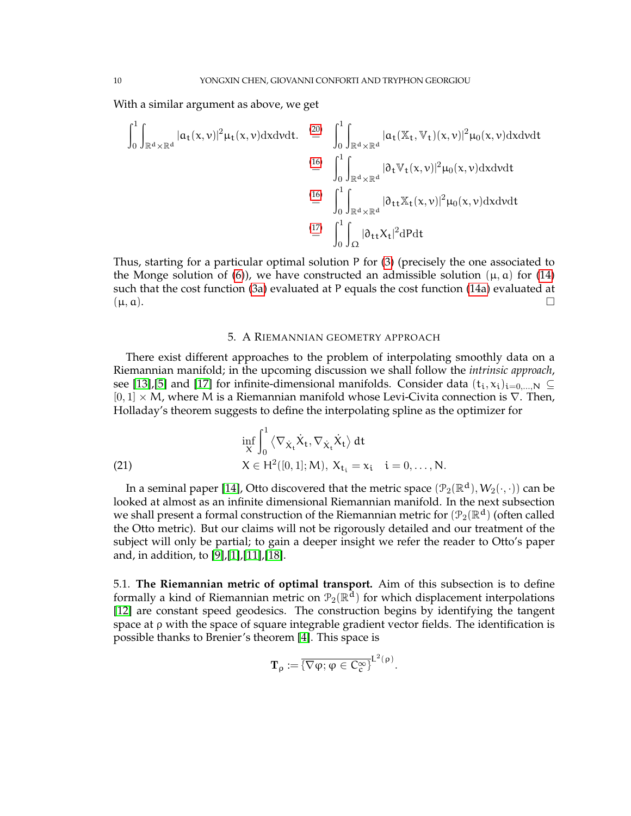With a similar argument as above, we get

$$
\int_{0}^{1} \int_{\mathbb{R}^{d} \times \mathbb{R}^{d}} |a_{t}(x,v)|^{2} \mu_{t}(x,v) dx dv dt. \stackrel{\text{(20)}}{=} \int_{0}^{1} \int_{\mathbb{R}^{d} \times \mathbb{R}^{d}} |a_{t}(\mathbb{X}_{t}, \mathbb{V}_{t})(x,v)|^{2} \mu_{0}(x,v) dx dv dt
$$
\n
$$
\stackrel{\text{(16)}}{=} \int_{0}^{1} \int_{\mathbb{R}^{d} \times \mathbb{R}^{d}} |\partial_{t} \mathbb{V}_{t}(x,v)|^{2} \mu_{0}(x,v) dx dv dt
$$
\n
$$
\stackrel{\text{(16)}}{=} \int_{0}^{1} \int_{\mathbb{R}^{d} \times \mathbb{R}^{d}} |\partial_{t t} \mathbb{X}_{t}(x,v)|^{2} \mu_{0}(x,v) dx dv dt
$$
\n
$$
\stackrel{\text{(17)}}{=} \int_{0}^{1} \int_{\Omega} |\partial_{t t} X_{t}|^{2} dP dt
$$

Thus, starting for a particular optimal solution P for [\(3\)](#page-3-2) (precisely the one associated to the Monge solution of [\(6\)](#page-4-2)), we have constructed an admissible solution ( $\mu$ ,  $\alpha$ ) for [\(14\)](#page-7-1) such that the cost function [\(3a\)](#page-3-3) evaluated at P equals the cost function [\(14a\)](#page-7-6) evaluated at  $(\mu, a).$ 

#### <span id="page-9-1"></span>5. A RIEMANNIAN GEOMETRY APPROACH

<span id="page-9-0"></span>There exist different approaches to the problem of interpolating smoothly data on a Riemannian manifold; in the upcoming discussion we shall follow the *intrinsic approach*, see [\[13\]](#page-21-7), [\[5\]](#page-20-3) and [\[17\]](#page-21-8) for infinite-dimensional manifolds. Consider data  $(t_i, x_i)_{i=0,\dots,N} \subseteq$  $[0, 1] \times M$ , where M is a Riemannian manifold whose Levi-Civita connection is  $\nabla$ . Then, Holladay's theorem suggests to define the interpolating spline as the optimizer for

(21) 
$$
\inf_{X} \int_{0}^{1} \langle \nabla_{\dot{X}_{t}} \dot{X}_{t}, \nabla_{\dot{X}_{t}} \dot{X}_{t} \rangle dt X \in H^{2}([0, 1]; M), X_{t_{i}} = x_{i} \quad i = 0, ..., N.
$$

In a seminal paper [\[14\]](#page-21-3), Otto discovered that the metric space  $(\mathcal{P}_2(\mathbb{R}^d), W_2(\cdot,\cdot))$  can be looked at almost as an infinite dimensional Riemannian manifold. In the next subsection we shall present a formal construction of the Riemannian metric for  $(\mathcal{P}_2(\mathbb{R}^d)$  (often called the Otto metric). But our claims will not be rigorously detailed and our treatment of the subject will only be partial; to gain a deeper insight we refer the reader to Otto's paper and, in addition, to [\[9\]](#page-21-9),[\[1\]](#page-20-0),[\[11\]](#page-21-10),[\[18\]](#page-21-11).

5.1. **The Riemannian metric of optimal transport.** Aim of this subsection is to define formally a kind of Riemannian metric on  $\mathcal{P}_2(\mathbb{R}^{\overline{d}})$  for which displacement interpolations [\[12\]](#page-21-6) are constant speed geodesics. The construction begins by identifying the tangent space at ρ with the space of square integrable gradient vector fields. The identification is possible thanks to Brenier's theorem [\[4\]](#page-20-4). This space is

$$
\mathbf{T}_{\rho}:=\overline{\{\nabla\phi;\phi\in C_{c}^{\infty}\}}^{L^{2}(\rho)}.
$$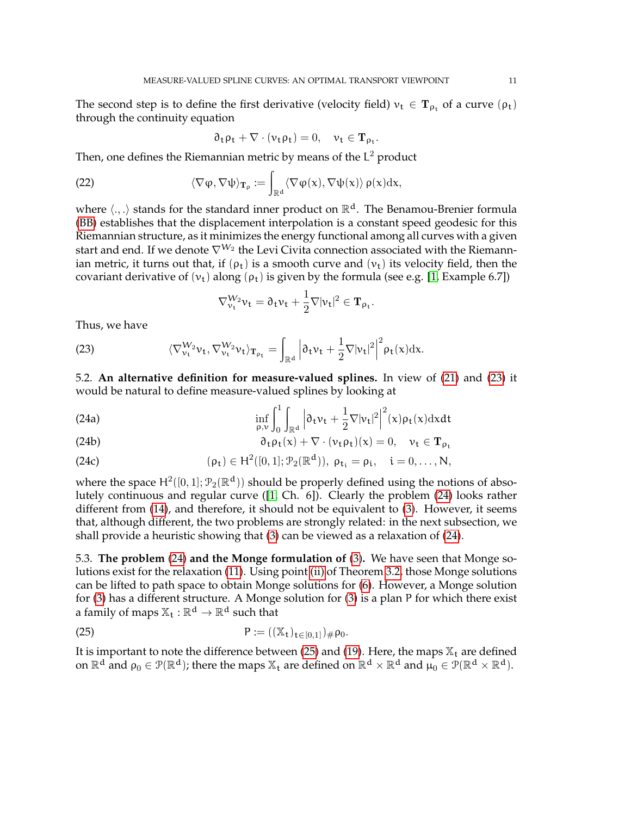The second step is to define the first derivative (velocity field)  $v_t \in T_{\rho_t}$  of a curve  $(\rho_t)$ through the continuity equation

$$
\partial_t \rho_t + \nabla \cdot (\nu_t \rho_t) = 0, \quad \nu_t \in \mathbf{T}_{\rho_t}.
$$

Then, one defines the Riemannian metric by means of the  $L^2$  product

(22) 
$$
\langle \nabla \phi, \nabla \psi \rangle_{\mathbf{T}_{\rho}} := \int_{\mathbb{R}^d} \langle \nabla \phi(x), \nabla \psi(x) \rangle \, \rho(x) dx,
$$

where  $\langle .,.\rangle$  stands for the standard inner product on  $\mathbb{R}^d$ . The Benamou-Brenier formula [\(BB\)](#page-7-8) establishes that the displacement interpolation is a constant speed geodesic for this Riemannian structure, as it minimizes the energy functional among all curves with a given start and end. If we denote  $\nabla ^{W_{2}}$  the Levi Civita connection associated with the Riemannian metric, it turns out that, if  $(\rho_t)$  is a smooth curve and  $(\nu_t)$  its velocity field, then the covariant derivative of  $(v_t)$  along  $(\rho_t)$  is given by the formula (see e.g. [\[1,](#page-20-0) Example 6.7])

<span id="page-10-1"></span><span id="page-10-0"></span>
$$
\nabla_{\nu_t}^{W_2} \nu_t = \partial_t \nu_t + \frac{1}{2} \nabla |\nu_t|^2 \in \mathbf{T}_{\rho_t}.
$$

Thus, we have

(23) 
$$
\langle \nabla_{\nu_t}^{W_2} \nu_t, \nabla_{\nu_t}^{W_2} \nu_t \rangle_{\mathbf{T}_{\rho_t}} = \int_{\mathbb{R}^d} \left| \partial_t \nu_t + \frac{1}{2} \nabla |\nu_t|^2 \right|^2 \rho_t(x) dx.
$$

5.2. **An alternative definition for measure-valued splines.** In view of [\(21\)](#page-9-1) and [\(23\)](#page-10-0) it would be natural to define measure-valued splines by looking at

(24a) 
$$
\inf_{\rho,\nu}\int_0^1\int_{\mathbb{R}^d}\left|\partial_t\nu_t+\frac{1}{2}\nabla|\nu_t|^2\right|^2(x)\rho_t(x)\mathrm{d}x\mathrm{d}t
$$

(24b) 
$$
\partial_t \rho_t(x) + \nabla \cdot (\nu_t \rho_t)(x) = 0, \quad \nu_t \in \mathbf{T}_{\rho_t}
$$

(24c) 
$$
(\rho_t) \in H^2([0,1]; \mathcal{P}_2(\mathbb{R}^d)), \ \rho_{t_i} = \rho_i, \quad i = 0, \dots, N,
$$

where the space  $H^2([0,1]; \mathcal{P}_2(\mathbb{R}^d))$  should be properly defined using the notions of absolutely continuous and regular curve ([\[1,](#page-20-0) Ch. 6]). Clearly the problem [\(24\)](#page-10-1) looks rather different from [\(14\)](#page-7-1), and therefore, it should not be equivalent to [\(3\)](#page-3-2). However, it seems that, although different, the two problems are strongly related: in the next subsection, we shall provide a heuristic showing that [\(3\)](#page-3-2) can be viewed as a relaxation of [\(24\)](#page-10-1).

5.3. **The problem** [\(24\)](#page-10-1) **and the Monge formulation of** [\(3\)](#page-3-2)**.** We have seen that Monge solutions exist for the relaxation [\(11\)](#page-5-1). Using point [\(ii\)](#page-5-2) of Theorem [3.2,](#page-5-3) those Monge solutions can be lifted to path space to obtain Monge solutions for [\(6\)](#page-4-2). However, a Monge solution for [\(3\)](#page-3-2) has a different structure. A Monge solution for [\(3\)](#page-3-2) is a plan P for which there exist a family of maps  $\mathbb{X}_t : \mathbb{R}^d \to \mathbb{R}^d$  such that

<span id="page-10-2"></span>(25) 
$$
P := ((\mathbb{X}_{t})_{t \in [0,1]})_{\#} \rho_{0}.
$$

It is important to note the difference between [\(25\)](#page-10-2) and [\(19\)](#page-8-1). Here, the maps  $\mathbb{X}_t$  are defined on  $\mathbb{R}^d$  and  $\rho_0 \in \mathcal{P}(\mathbb{R}^d)$ ; there the maps  $\mathbb{X}_t$  are defined on  $\mathbb{R}^d \times \mathbb{R}^d$  and  $\mu_0 \in \mathcal{P}(\mathbb{R}^d \times \mathbb{R}^d)$ .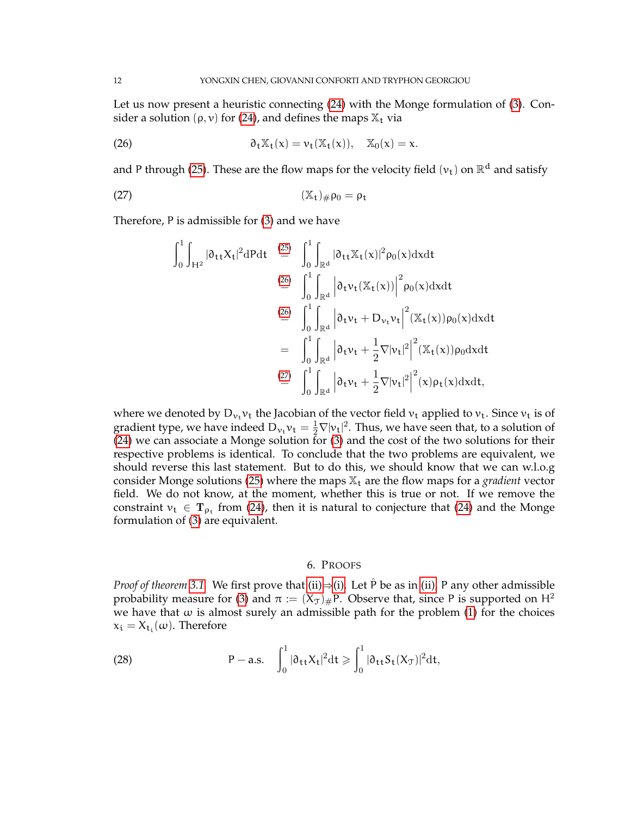Let us now present a heuristic connecting [\(24\)](#page-10-1) with the Monge formulation of [\(3\)](#page-3-2). Consider a solution ( $\rho$ ,  $\nu$ ) for [\(24\)](#page-10-1), and defines the maps  $\mathbb{X}_t$  via

(26) 
$$
\partial_t \mathbb{X}_t(x) = \nu_t(\mathbb{X}_t(x)), \quad \mathbb{X}_0(x) = x.
$$

and P through [\(25\)](#page-10-2). These are the flow maps for the velocity field  $(v_t)$  on  $\mathbb{R}^d$  and satisfy

$$
(\mathbb{X}_{t})_{\#}\rho_{0}=\rho_{t}
$$

Therefore, P is admissible for [\(3\)](#page-3-2) and we have

<span id="page-11-2"></span><span id="page-11-1"></span>
$$
\int_{0}^{1} \int_{H^{2}} |\partial_{tt} X_{t}|^{2} dP dt \stackrel{(25)}{=} \int_{0}^{1} \int_{\mathbb{R}^{d}} |\partial_{tt} X_{t}(x)|^{2} \rho_{0}(x) dx dt
$$
\n
$$
\stackrel{(26)}{=} \int_{0}^{1} \int_{\mathbb{R}^{d}} |\partial_{t} v_{t}(X_{t}(x))|^{2} \rho_{0}(x) dx dt
$$
\n
$$
\stackrel{(26)}{=} \int_{0}^{1} \int_{\mathbb{R}^{d}} |\partial_{t} v_{t} + D_{v_{t}} v_{t}|^{2} (X_{t}(x)) \rho_{0}(x) dx dt
$$
\n
$$
= \int_{0}^{1} \int_{\mathbb{R}^{d}} |\partial_{t} v_{t} + \frac{1}{2} \nabla |v_{t}|^{2} |^{2} (X_{t}(x)) \rho_{0} dx dt
$$
\n
$$
\stackrel{(27)}{=} \int_{0}^{1} \int_{\mathbb{R}^{d}} |\partial_{t} v_{t} + \frac{1}{2} \nabla |v_{t}|^{2} |^{2} (x) \rho_{t}(x) dx dt,
$$

where we denoted by  $D_{\nu_t}\nu_t$  the Jacobian of the vector field  $\nu_t$  applied to  $\nu_t$ . Since  $\nu_t$  is of gradient type, we have indeed  $D_{\nu_t}\nu_t = \frac{1}{2}\nabla |\nu_t|^2$ . Thus, we have seen that, to a solution of [\(24\)](#page-10-1) we can associate a Monge solution for [\(3\)](#page-3-2) and the cost of the two solutions for their respective problems is identical. To conclude that the two problems are equivalent, we should reverse this last statement. But to do this, we should know that we can w.l.o.g consider Monge solutions [\(25\)](#page-10-2) where the maps  $\mathbb{X}_t$  are the flow maps for a *gradient* vector field. We do not know, at the moment, whether this is true or not. If we remove the constraint  $v_t \in T_{\rho_t}$  from [\(24\)](#page-10-1), then it is natural to conjecture that (24) and the Monge formulation of [\(3\)](#page-3-2) are equivalent.

#### 6. PROOFS

<span id="page-11-0"></span>*Proof of theorem* [3.1.](#page-4-0) We first prove that [\(ii\)](#page-4-3) $\Rightarrow$ [\(i\).](#page-4-4) Let  $\hat{P}$  be as in [\(ii\),](#page-4-3) P any other admissible probability measure for [\(3\)](#page-3-2) and  $\pi := (X_{\mathcal{J}})_\#$ P. Observe that, since P is supported on H<sup>2</sup> we have that  $\omega$  is almost surely an admissible path for the problem [\(1\)](#page-2-1) for the choices  $x_i = X_{t_i}(\omega)$ . Therefore

<span id="page-11-3"></span>(28) 
$$
P-a.s. \quad \int_0^1 |\partial_{tt} X_t|^2 dt \geqslant \int_0^1 |\partial_{tt} S_t(X_T)|^2 dt,
$$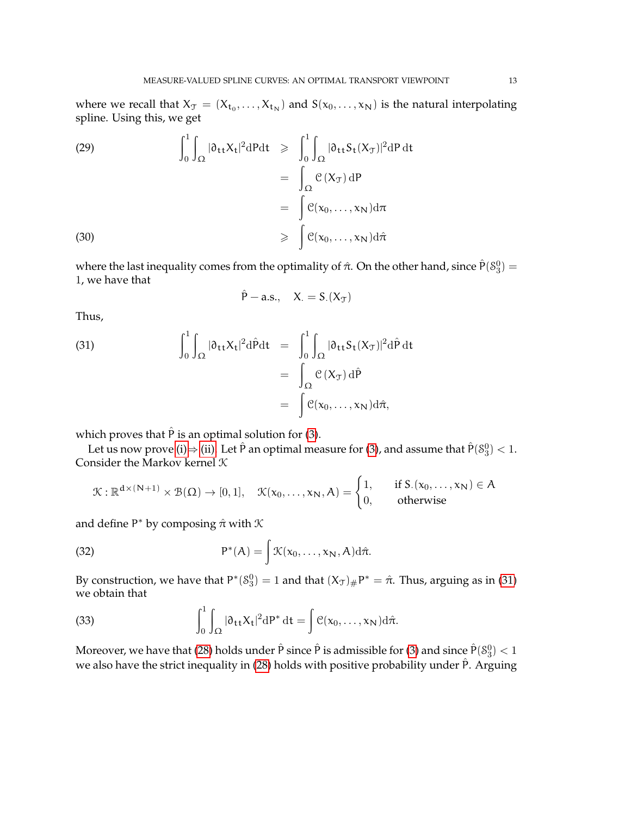where we recall that  $X_{\mathcal{T}} = (X_{t_0},...,X_{t_N})$  and  $S(x_0,...,x_N)$  is the natural interpolating spline. Using this, we get

<span id="page-12-1"></span>(29)  
\n
$$
\int_0^1 \int_{\Omega} |\partial_{tt} X_t|^2 dP dt \ge \int_0^1 \int_{\Omega} |\partial_{tt} S_t(X_T)|^2 dP dt
$$
\n
$$
= \int_{\Omega} \mathcal{C}(X_T) dP
$$
\n
$$
= \int_{\mathcal{C}} \mathcal{C}(x_0, ..., x_N) d\pi
$$
\n(30)  
\n
$$
\ge \int_{\Omega} \mathcal{C}(x_0, ..., x_N) d\hat{\pi}
$$

where the last inequality comes from the optimality of  $\hat{\pi}$ . On the other hand, since  $\hat{P}(S_3^0)$  = 1, we have that

<span id="page-12-0"></span>
$$
\hat{P}-a.s.,\quad X_\cdot=S_\cdot(X_\mathcal{T})
$$

Thus,

(31)  
\n
$$
\int_0^1 \int_{\Omega} |\partial_{tt} X_t|^2 d\hat{P} dt = \int_0^1 \int_{\Omega} |\partial_{tt} S_t(X_T)|^2 d\hat{P} dt
$$
\n
$$
= \int_{\Omega} \mathcal{C}(X_T) d\hat{P}
$$
\n
$$
= \int \mathcal{C}(x_0, \dots, x_N) d\hat{\pi},
$$

which proves that  $\hat{P}$  is an optimal solution for [\(3\)](#page-3-2).

Let us now prove [\(i\)](#page-4-4) $\Rightarrow$  [\(ii\).](#page-4-3) Let  $\hat{P}$  an optimal measure for [\(3\)](#page-3-2), and assume that  $\hat{P}(\mathcal{S}_3^0) < 1$ . Consider the Markov kernel  $K$ 

<span id="page-12-3"></span>
$$
\mathcal{K}: \mathbb{R}^{d \times (N+1)} \times \mathcal{B}(\Omega) \to [0,1], \quad \mathcal{K}(x_0,\ldots,x_N,A) = \begin{cases} 1, & \text{if } S_{\cdot}(x_0,\ldots,x_N) \in A \\ 0, & \text{otherwise} \end{cases}
$$

and define  $P^*$  by composing  $\hat{\pi}$  with  $\mathcal K$ 

(32) 
$$
P^*(A) = \int \mathcal{K}(x_0, \dots, x_N, A) d\hat{\pi}.
$$

By construction, we have that  $P^*(S_3^0) = 1$  and that  $(X_{\mathcal{T}})_\# P^* = \hat{\pi}$ . Thus, arguing as in [\(31\)](#page-12-0) we obtain that

<span id="page-12-2"></span>(33) 
$$
\int_0^1 \int_{\Omega} |\partial_{tt} X_t|^2 dP^* dt = \int \mathcal{C}(x_0, \dots, x_N) d\hat{\pi}.
$$

Moreover, we have that [\(28\)](#page-11-3) holds under  $\hat{\mathsf{P}}$  since  $\hat{\mathsf{P}}$  is admissible for [\(3\)](#page-3-2) and since  $\hat{\mathsf{P}}(\mathcal{S}_3^0) < 1$ we also have the strict inequality in  $(28)$  holds with positive probability under  $\hat{P}$ . Arguing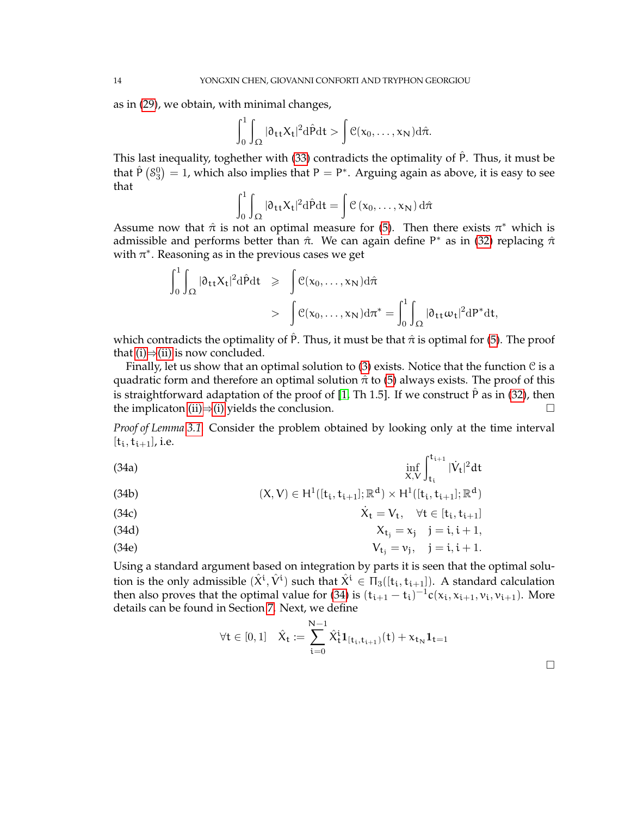as in [\(29\)](#page-12-1), we obtain, with minimal changes,

$$
\int_0^1 \int_{\Omega} |\mathfrak{d}_{\mathsf{t}\mathsf{t}} X_{\mathsf{t}}|^2 \mathrm{d} \hat{P} \mathrm{d} \mathsf{t} > \int \mathfrak{C}(x_0,\ldots,x_N) \mathrm{d} \hat{\pi}.
$$

This last inequality, toghether with [\(33\)](#page-12-2) contradicts the optimality of Pˆ. Thus, it must be that  $\hat{P}(S_3^0) = 1$ , which also implies that  $P = P^*$ . Arguing again as above, it is easy to see that

$$
\int_0^1 \int_{\Omega} |\partial_{tt} X_t|^2 d\hat{P} dt = \int \mathcal{C} (x_0, \dots, x_N) d\hat{\pi}
$$

Assume now that  $\hat{\pi}$  is not an optimal measure for [\(5\)](#page-4-1). Then there exists  $\pi^*$  which is admissible and performs better than  $\hat{\pi}$ . We can again define P<sup>\*</sup> as in [\(32\)](#page-12-3) replacing  $\hat{\pi}$ with  $\pi^*$ . Reasoning as in the previous cases we get

$$
\int_0^1 \int_{\Omega} |\partial_{tt} X_t|^2 d\hat{P} dt \geqslant \int \mathcal{C}(x_0, \dots, x_N) d\hat{\pi}
$$

$$
> \int \mathcal{C}(x_0, \dots, x_N) d\pi^* = \int_0^1 \int_{\Omega} |\partial_{tt} \omega_t|^2 dP^* dt,
$$

which contradicts the optimality of  $\hat{P}$ . Thus, it must be that  $\hat{\pi}$  is optimal for [\(5\)](#page-4-1). The proof that [\(i\)](#page-4-4) $\Rightarrow$ [\(ii\)](#page-4-3) is now concluded.

Finally, let us show that an optimal solution to [\(3\)](#page-3-2) exists. Notice that the function  $\mathcal C$  is a quadratic form and therefore an optimal solution  $\hat{\pi}$  to [\(5\)](#page-4-1) always exists. The proof of this is straightforward adaptation of the proof of [\[1,](#page-20-0) Th 1.5]. If we construct  $\hat{P}$  as in [\(32\)](#page-12-3), then the implicaton [\(ii\)](#page-4-3) $\Rightarrow$ [\(i\)](#page-4-4) yields the conclusion.

<span id="page-13-0"></span>*Proof of Lemma [3.1.](#page-5-4)* Consider the problem obtained by looking only at the time interval  $[t_i, t_{i+1}], i.e.$ 

(34a) 
$$
\inf_{X,V} \int_{t_i}^{t_{i+1}} |\dot{V}_t|^2 dt
$$

(34b) 
$$
(X, V) \in H^1([t_i, t_{i+1}]; \mathbb{R}^d) \times H^1([t_i, t_{i+1}]; \mathbb{R}^d)
$$

(34c) 
$$
\dot{X}_t = V_t, \quad \forall t \in [t_i, t_{i+1}]
$$

$$
X_{t_j} = x_j \quad j = i, i+1,
$$

$$
V_{t_j} = v_j, \quad j = i, i+1.
$$

Using a standard argument based on integration by parts it is seen that the optimal solution is the only admissible  $(\hat{X}^i, \hat{V}^i)$  such that  $\hat{X}^i \in \Pi_3([\mathsf{t}_i, \mathsf{t}_{i+1}])$ . A standard calculation then also proves that the optimal value for [\(34\)](#page-13-0) is  $(t_{i+1} - t_i)^{-1} c(x_i, x_{i+1}, v_i, v_{i+1})$ . More details can be found in Section [7.](#page-16-0) Next, we define

$$
\forall t\in [0,1]\quad \hat{X}_t:=\sum_{t=0}^{N-1}\hat{X}_t^t\mathbf{1}_{[t_i,t_{i+1})}(t)+\mathbf{x}_{t_N}\mathbf{1}_{t=1}
$$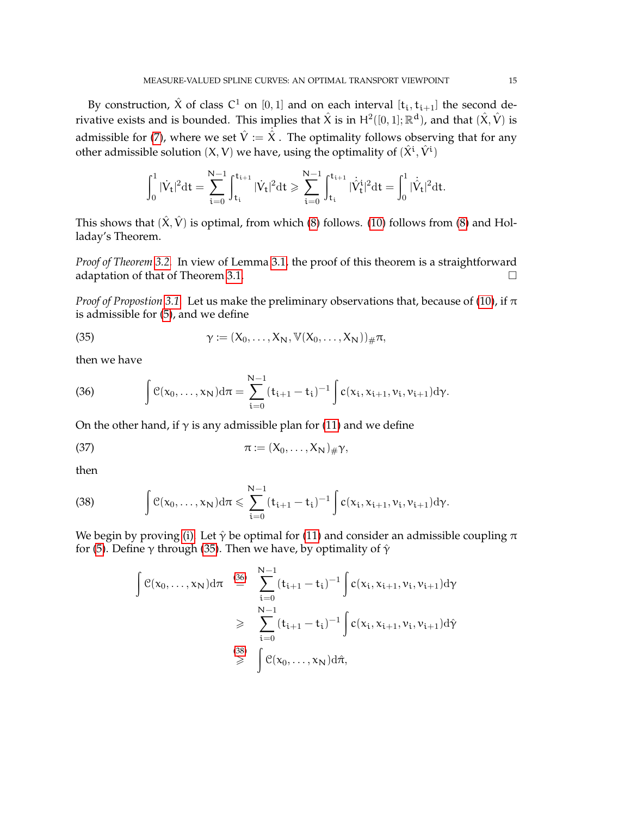By construction,  $\hat{X}$  of class  $C^1$  on  $[0, 1]$  and on each interval  $[t_i, t_{i+1}]$  the second derivative exists and is bounded. This implies that  $\hat{X}$  is in  $H^2([0,1];\mathbb{R}^d)$ , and that  $(\hat{X},\hat{V})$  is admissible for [\(7\)](#page-5-5), where we set  $\hat{V} := \hat{X}$ . The optimality follows observing that for any other admissible solution  $(X, V)$  we have, using the optimality of  $(\hat{X}^{\mathfrak{i}}, \hat{V}^{\mathfrak{i}})$ 

$$
\int_0^1 |\dot{V}_t|^2 \mathrm{d} t = \sum_{i=0}^{N-1} \int_{t_i}^{t_{i+1}} |\dot{V}_t|^2 \mathrm{d} t \geqslant \sum_{i=0}^{N-1} \int_{t_i}^{t_{i+1}} |\dot{\hat{V}}_t^i|^2 \mathrm{d} t = \int_0^1 |\dot{\hat{V}}_t|^2 \mathrm{d} t.
$$

This shows that  $(\hat{X}, \hat{V})$  is optimal, from which [\(8\)](#page-5-6) follows. [\(10\)](#page-5-0) follows from (8) and Holladay's Theorem.

*Proof of Theorem [3.2.](#page-5-3)* In view of Lemma [3.1,](#page-5-4) the proof of this theorem is a straightforward adaptation of that of Theorem [3.1.](#page-4-0)  $\Box$ 

*Proof of Propostion* [3.1.](#page-6-1) Let us make the preliminary observations that, because of [\(10\)](#page-5-0), if  $\pi$ is admissible for [\(5\)](#page-4-1), and we define

<span id="page-14-0"></span>(35) 
$$
\gamma := (X_0, \ldots, X_N, \mathbb{V}(X_0, \ldots, X_N))_{\#} \pi,
$$

then we have

<span id="page-14-1"></span>(36) 
$$
\int c(x_0, \ldots, x_N) d\pi = \sum_{i=0}^{N-1} (t_{i+1} - t_i)^{-1} \int c(x_i, x_{i+1}, v_i, v_{i+1}) d\gamma.
$$

On the other hand, if  $\gamma$  is any admissible plan for [\(11\)](#page-5-1) and we define

<span id="page-14-3"></span>
$$
\pi := (X_0, \ldots, X_N)_{\# Y},
$$

then

<span id="page-14-2"></span>(38) 
$$
\int \mathcal{C}(x_0,\ldots,x_N) d\pi \leqslant \sum_{i=0}^{N-1} (t_{i+1}-t_i)^{-1} \int c(x_i,x_{i+1},\nu_i,\nu_{i+1}) d\gamma.
$$

We begin by proving [\(i\).](#page-6-2) Let  $\hat{\gamma}$  be optimal for [\(11\)](#page-5-1) and consider an admissible coupling  $\pi$ for [\(5\)](#page-4-1). Define  $\gamma$  through [\(35\)](#page-14-0). Then we have, by optimality of  $\hat{\gamma}$ 

$$
\int e(x_0,...,x_N) d\pi \stackrel{(36)}{=} \sum_{i=0}^{N-1} (t_{i+1} - t_i)^{-1} \int c(x_i, x_{i+1}, v_i, v_{i+1}) d\gamma
$$
  
\n
$$
\geqslant \sum_{i=0}^{N-1} (t_{i+1} - t_i)^{-1} \int c(x_i, x_{i+1}, v_i, v_{i+1}) d\hat{\gamma}
$$
  
\n
$$
\geqslant \int e(x_0,...,x_N) d\hat{\pi},
$$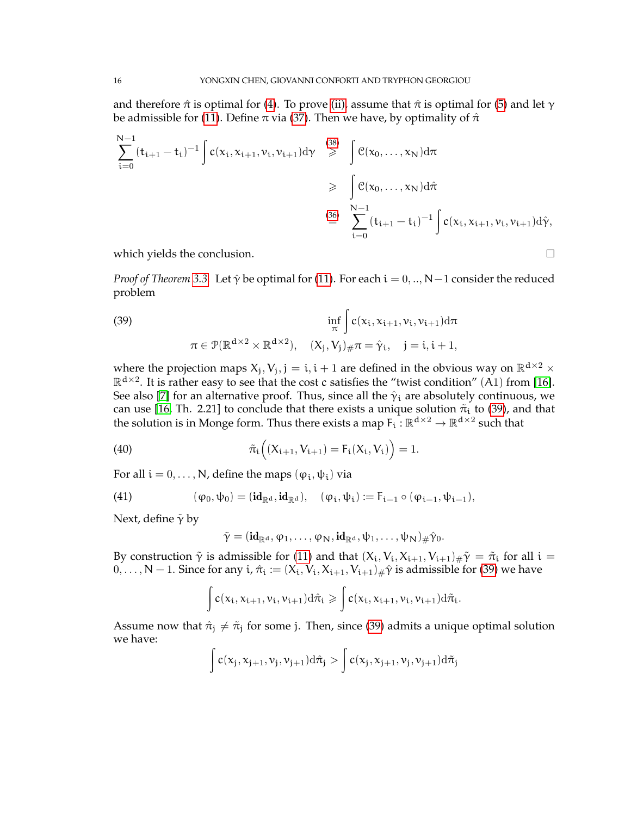and therefore  $\hat{\pi}$  is optimal for [\(4\)](#page-3-4). To prove [\(ii\),](#page-4-3) assume that  $\hat{\pi}$  is optimal for [\(5\)](#page-4-1) and let  $\gamma$ be admissible for [\(11\)](#page-5-1). Define  $\pi$  via [\(37\)](#page-14-3). Then we have, by optimality of  $\hat{\pi}$ 

$$
\sum_{i=0}^{N-1} (t_{i+1} - t_i)^{-1} \int c(x_i, x_{i+1}, v_i, v_{i+1}) d\gamma \stackrel{(38)}{\geq} \int c(x_0, ..., x_N) d\pi
$$
  

$$
\geq \int_{\frac{N-1}{i=0}}^{N-1} (t_{i+1} - t_i)^{-1} \int c(x_i, x_{i+1}, v_i, v_{i+1}) d\hat{\gamma},
$$

which yields the conclusion.

*Proof of Theorem* [3.3.](#page-6-0) Let  $\hat{\gamma}$  be optimal for [\(11\)](#page-5-1). For each  $i = 0, ..., N-1$  consider the reduced problem

<span id="page-15-0"></span>(39)  
\n
$$
\inf_{\pi} \int c(x_i, x_{i+1}, v_i, v_{i+1}) d\pi
$$
\n
$$
\pi \in \mathcal{P}(\mathbb{R}^{d \times 2} \times \mathbb{R}^{d \times 2}), \quad (X_j, V_j)_{\#} \pi = \hat{\gamma}_i, \quad j = i, i+1,
$$

where the projection maps  $X_j, V_j, j = i, i + 1$  are defined in the obvious way on  $\mathbb{R}^{d \times 2}$   $\times$  $\mathbb{R}^{d\times 2}$ . It is rather easy to see that the cost c satisfies the "twist condition" (A1) from [\[16\]](#page-21-2). See also [\[7\]](#page-21-12) for an alternative proof. Thus, since all the  $\hat{\gamma}_i$  are absolutely continuous, we can use [\[16,](#page-21-2) Th. 2.21] to conclude that there exists a unique solution  $\tilde{\pi}_i$  to [\(39\)](#page-15-0), and that the solution is in Monge form. Thus there exists a map  $F_i : \mathbb{R}^{d \times 2} \to \mathbb{R}^{d \times 2}$  such that

(40) 
$$
\tilde{\pi}_i ((X_{i+1}, V_{i+1}) = F_i (X_i, V_i)) = 1.
$$

For all  $i = 0, \ldots, N$ , define the maps  $(\varphi_i, \psi_i)$  via

(41) 
$$
(\phi_0, \psi_0) = (\mathbf{id}_{\mathbb{R}^d}, \mathbf{id}_{\mathbb{R}^d}), \quad (\phi_i, \psi_i) := F_{i-1} \circ (\phi_{i-1}, \psi_{i-1}),
$$

Next, define  $\tilde{\gamma}$  by

<span id="page-15-2"></span><span id="page-15-1"></span>
$$
\tilde{\gamma} = (\mathbf{id}_{\mathbb{R}^d}, \phi_1, \ldots, \phi_N, \mathbf{id}_{\mathbb{R}^d}, \psi_1, \ldots, \psi_N)_\# \hat{\gamma}_0.
$$

By construction  $\tilde{\gamma}$  is admissible for [\(11\)](#page-5-1) and that  $(X_i, V_i, X_{i+1}, V_{i+1})_{\#} \tilde{\gamma} = \tilde{\pi}_i$  for all  $i =$  $0, \ldots, N-1$ . Since for any i,  $\hat{\pi}_i := (X_i, V_i, X_{i+1}, V_{i+1}) \# \hat{\gamma}$  is admissible for [\(39\)](#page-15-0) we have

$$
\int c(x_i,x_{i+1},\nu_i,\nu_{i+1})\mathrm{d}\hat{\pi}_i\geqslant \int c(x_i,x_{i+1},\nu_i,\nu_{i+1})\mathrm{d}\tilde{\pi}_i.
$$

Assume now that  $\hat{\pi}_j \neq \tilde{\pi}_j$  for some j. Then, since [\(39\)](#page-15-0) admits a unique optimal solution we have:

$$
\int c(x_j,x_{j+1},\nu_j,\nu_{j+1})\mathrm{d}\hat{\pi}_j>\int c(x_j,x_{j+1},\nu_j,\nu_{j+1})\mathrm{d}\tilde{\pi}_j
$$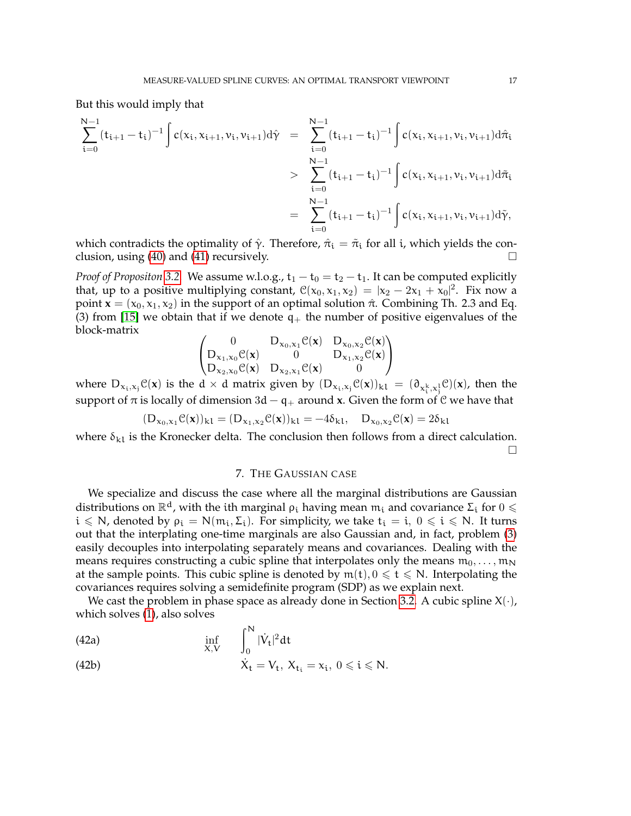But this would imply that

$$
\begin{array}{lcl} \displaystyle\sum_{i=0}^{N-1}(t_{i+1}-t_i)^{-1}\int c(x_i,x_{i+1},\nu_i,\nu_{i+1})d\hat{\gamma}&=&\displaystyle\sum_{i=0}^{N-1}(t_{i+1}-t_i)^{-1}\int c(x_i,x_{i+1},\nu_i,\nu_{i+1})d\hat{\pi}_i\\&=&\displaystyle\sum_{i=0}^{N-1}(t_{i+1}-t_i)^{-1}\int c(x_i,x_{i+1},\nu_i,\nu_{i+1})d\tilde{\pi}_i\\&=&\displaystyle\sum_{i=0}^{N-1}(t_{i+1}-t_i)^{-1}\int c(x_i,x_{i+1},\nu_i,\nu_{i+1})d\tilde{\gamma},\end{array}
$$

which contradicts the optimality of  $\hat{\gamma}$ . Therefore,  $\hat{\pi}_i = \tilde{\pi}_i$  for all i, which yields the con-clusion, using [\(40\)](#page-15-1) and [\(41\)](#page-15-2) recursively.  $\Box$ 

*Proof of Propositon* [3.2.](#page-6-3) We assume w.l.o.g.,  $t_1 - t_0 = t_2 - t_1$ . It can be computed explicitly that, up to a positive multiplying constant,  $\mathcal{C}(x_0, x_1, x_2) = |x_2 - 2x_1 + x_0|^2$ . Fix now a point  $\mathbf{x} = (x_0, x_1, x_2)$  in the support of an optimal solution  $\hat{\pi}$ . Combining Th. 2.3 and Eq. (3) from [\[15\]](#page-21-5) we obtain that if we denote  $q_+$  the number of positive eigenvalues of the block-matrix

$$
\begin{pmatrix} 0 & D_{x_0,x_1}\mathfrak{C}(\boldsymbol{x}) & D_{x_0,x_2}\mathfrak{C}(\boldsymbol{x}) \\ D_{x_1,x_0}\mathfrak{C}(\boldsymbol{x}) & 0 & D_{x_1,x_2}\mathfrak{C}(\boldsymbol{x}) \\ D_{x_2,x_0}\mathfrak{C}(\boldsymbol{x}) & D_{x_2,x_1}\mathfrak{C}(\boldsymbol{x}) & 0 \end{pmatrix}
$$

where  $D_{x_i,x_j}C(\mathbf{x})$  is the d  $\times$  d matrix given by  $(D_{x_i,x_j}C(\mathbf{x}))_{k1} = (\partial_{x_i^k,x_j^1}C)(\mathbf{x})$ , then the support of  $\pi$  is locally of dimension 3d – q<sub>+</sub> around **x**. Given the form of C we have that

$$
(D_{x_0,x_1}\mathcal{C}(\mathbf{x}))_{k1} = (D_{x_1,x_2}\mathcal{C}(\mathbf{x}))_{k1} = -4\delta_{k1}, \quad D_{x_0,x_2}\mathcal{C}(\mathbf{x}) = 2\delta_{k1}
$$

where  $\delta_{k}$  is the Kronecker delta. The conclusion then follows from a direct calculation.  $\Box$ 

### 7. THE GAUSSIAN CASE

<span id="page-16-0"></span>We specialize and discuss the case where all the marginal distributions are Gaussian distributions on  $\mathbb{R}^d$ , with the ith marginal  $\rho_i$  having mean  $\mathfrak{m}_i$  and covariance  $\Sigma_i$  for  $0 \leq$  $i \le N$ , denoted by  $\rho_i = N(m_i, \Sigma_i)$ . For simplicity, we take  $t_i = i, 0 \le i \le N$ . It turns out that the interplating one-time marginals are also Gaussian and, in fact, problem [\(3\)](#page-3-2) easily decouples into interpolating separately means and covariances. Dealing with the means requires constructing a cubic spline that interpolates only the means  $m_0, \ldots, m_N$ at the sample points. This cubic spline is denoted by  $m(t)$ ,  $0 \le t \le N$ . Interpolating the covariances requires solving a semidefinite program (SDP) as we explain next.

We cast the problem in phase space as already done in Section [3.2.](#page-4-5) A cubic spline  $X(\cdot)$ , which solves [\(1\)](#page-2-1), also solves

(42a) 
$$
\inf_{X,V} \int_0^N |\dot{V}_t|^2 dt
$$

(42b) 
$$
\dot{X}_t = V_t, X_{t_i} = x_i, 0 \leqslant i \leqslant N.
$$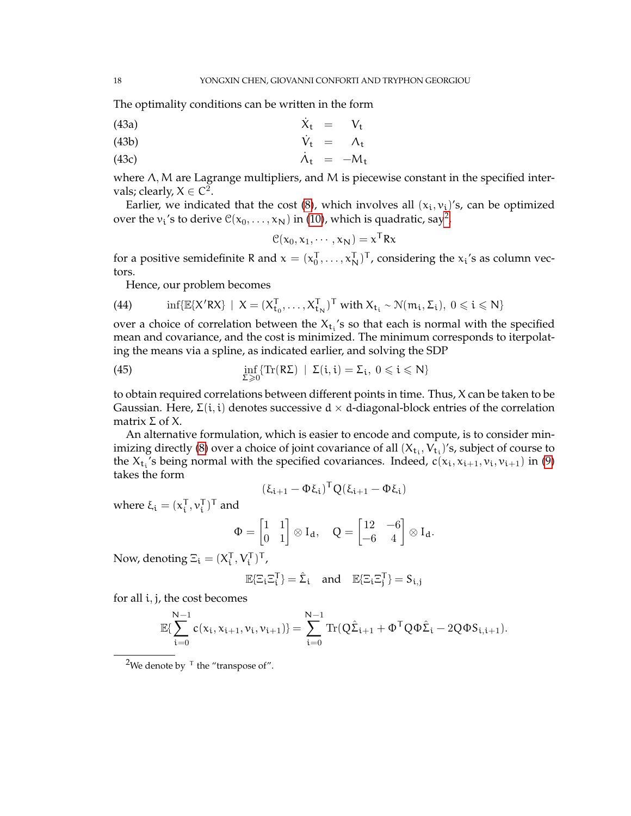The optimality conditions can be written in the form

$$
\dot{X}_t = V_t
$$
 (43a)

$$
\dot{V}_t = \Lambda_t
$$
 (43b)

(43c)  $\dot{\Lambda}_{t} = -M_{t}$ 

where Λ, Μ are Lagrange multipliers, and M is piecewise constant in the specified intervals; clearly,  $X \in \mathbb{C}^2$ .

Earlier, we indicated that the cost [\(8\)](#page-5-6), which involves all  $(x_i, v_i)$ 's, can be optimized over the  $v_i$ 's to derive  $\mathfrak{C}(x_0,\dots,x_\mathsf{N})$  in [\(10\)](#page-5-0), which is quadratic, say<sup>[2](#page-17-0)</sup>,

$$
\mathcal{C}(x_0, x_1, \cdots, x_N) = x^T R x
$$

for a positive semidefinite R and  $x = (x_0^T, \dots, x_N^T)^T$ , considering the  $x_i$ 's as column vectors.

Hence, our problem becomes

(44) 
$$
\inf \{ \mathbb{E} \{ X' R X \} \mid X = (X_{t_0}^T, \dots, X_{t_N}^T)^T \text{ with } X_{t_i} \sim \mathcal{N}(m_i, \Sigma_i), 0 \leqslant i \leqslant N \}
$$

over a choice of correlation between the  $X_{t_i}$ 's so that each is normal with the specified mean and covariance, and the cost is minimized. The minimum corresponds to iterpolating the means via a spline, as indicated earlier, and solving the SDP

(45) 
$$
\inf_{\Sigma \geq 0} \{ \text{Tr}(R\Sigma) \mid \Sigma(i, i) = \Sigma_i, 0 \leqslant i \leqslant N \}
$$

to obtain required correlations between different points in time. Thus, X can be taken to be Gaussian. Here,  $\Sigma(i, i)$  denotes successive  $d \times d$ -diagonal-block entries of the correlation matrix  $Σ$  of  $X$ .

An alternative formulation, which is easier to encode and compute, is to consider min-imizing directly [\(8\)](#page-5-6) over a choice of joint covariance of all  $(X_{t_i}, V_{t_i})'$ s, subject of course to the  $X_{t_i}$ 's being normal with the specified covariances. Indeed,  $c(x_i, x_{i+1}, v_i, v_{i+1})$  in [\(9\)](#page-5-7) takes the form

<span id="page-17-1"></span>
$$
(\xi_{i+1} - \Phi \xi_i)^T Q (\xi_{i+1} - \Phi \xi_i)
$$

where  $\xi_i = (x_i^T, v_i^T)^T$  and

$$
\Phi = \begin{bmatrix} 1 & 1 \\ 0 & 1 \end{bmatrix} \otimes I_d, \quad Q = \begin{bmatrix} 12 & -6 \\ -6 & 4 \end{bmatrix} \otimes I_d.
$$

Now, denoting  $\Xi_i = (X_i^T, V_i^T)^T$ ,

$$
\mathbb{E}\{\Xi_i\Xi_i^T\}=\hat{\Sigma}_i \quad \text{and} \quad \mathbb{E}\{\Xi_i\Xi_j^T\}=S_{i,j}
$$

for all i, j, the cost becomes

$$
\mathbb{E} \{ \sum_{i=0}^{N-1} c(x_i, x_{i+1}, \nu_i, \nu_{i+1}) \} = \sum_{i=0}^{N-1} \mathrm{Tr}(Q \hat{\Sigma}_{i+1} + \Phi^{\mathsf{T}} Q \Phi \hat{\Sigma}_{i} - 2 Q \Phi S_{i, i+1}).
$$

<span id="page-17-0"></span><sup>&</sup>lt;sup>2</sup>We denote by  $\mathsf{L}$  the "transpose of".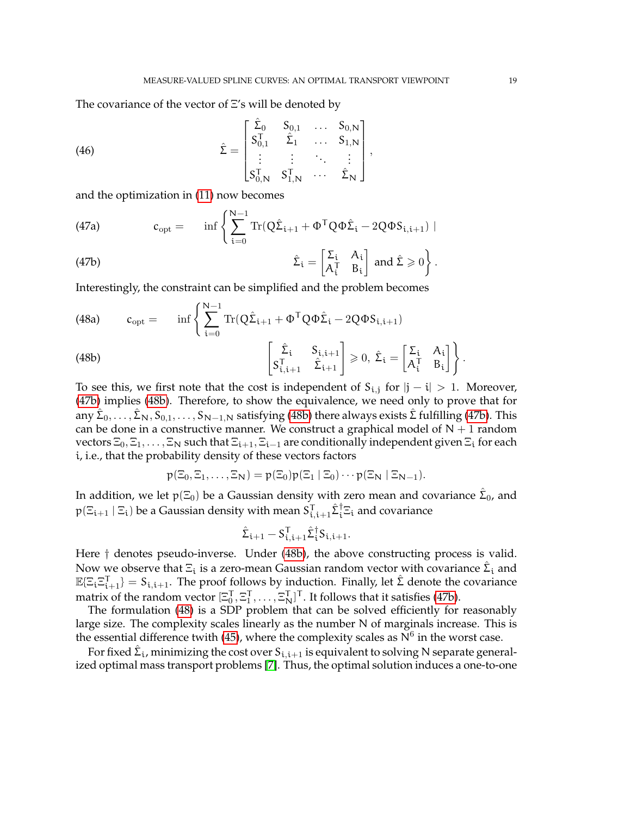The covariance of the vector of Ξ's will be denoted by

(46) 
$$
\hat{\Sigma} = \begin{bmatrix} \hat{\Sigma}_0 & S_{0,1} & \cdots & S_{0,N} \\ S_{0,1}^T & \hat{\Sigma}_1 & \cdots & S_{1,N} \\ \vdots & \vdots & \ddots & \vdots \\ S_{0,N}^T & S_{1,N}^T & \cdots & \hat{\Sigma}_N \end{bmatrix},
$$

<span id="page-18-3"></span>and the optimization in [\(11\)](#page-5-1) now becomes

<span id="page-18-0"></span>(47a) 
$$
c_{opt} = \inf \left\{ \sum_{i=0}^{N-1} \text{Tr}(Q\hat{\Sigma}_{i+1} + \Phi^{\mathsf{T}} Q \Phi \hat{\Sigma}_{i} - 2Q \Phi S_{i,i+1}) \mid \right\}
$$

(47b) 
$$
\hat{\Sigma}_{i} = \begin{bmatrix} \Sigma_{i} & A_{i} \\ A_{i}^{T} & B_{i} \end{bmatrix} \text{ and } \hat{\Sigma} \geq 0 \bigg\}.
$$

Interestingly, the constraint can be simplified and the problem becomes

<span id="page-18-1"></span>(48a) 
$$
c_{opt} = \inf \left\{ \sum_{i=0}^{N-1} \mathrm{Tr}(Q\hat{\Sigma}_{i+1} + \Phi^{\mathsf{T}}Q\Phi\hat{\Sigma}_{i} - 2QQ\Phi_{i,i+1}) \right\}
$$

(48b) 
$$
\begin{bmatrix} \hat{\Sigma}_i & S_{i,i+1} \\ S_{i,i+1}^T & \hat{\Sigma}_{i+1} \end{bmatrix} \geq 0, \ \hat{\Sigma}_i = \begin{bmatrix} \Sigma_i & A_i \\ A_i^T & B_i \end{bmatrix}.
$$

To see this, we first note that the cost is independent of  $S_{i,j}$  for  $|j - i| > 1$ . Moreover, [\(47b\)](#page-18-0) implies [\(48b\)](#page-18-1). Therefore, to show the equivalence, we need only to prove that for any  $\hat{\Sigma}_0,\ldots,\hat{\Sigma}_\mathsf{N},S_{0,1},\ldots,S_{\mathsf{N}-1,\mathsf{N}}$  satisfying [\(48b\)](#page-18-1) there always exists  $\hat{\Sigma}$  fulfilling [\(47b\)](#page-18-0). This can be done in a constructive manner. We construct a graphical model of  $N + 1$  random vectors  $\Xi_0, \Xi_1, \ldots, \Xi_N$  such that  $\Xi_{i+1}, \Xi_{i-1}$  are conditionally independent given  $\Xi_i$  for each i, i.e., that the probability density of these vectors factors

$$
p(\Xi_0,\Xi_1,\ldots,\Xi_N)=p(\Xi_0)p(\Xi_1\mid\Xi_0)\cdots p(\Xi_N\mid\Xi_{N-1}).
$$

In addition, we let p(Ξ<sub>0</sub>) be a Gaussian density with zero mean and covariance  $\hat{\Sigma}_0$ , and  $p(\Xi_{t+1}\mid\Xi_t)$  be a Gaussian density with mean  $S^{\sf T}_{i,i+1}\hat{\Sigma}_t^\dagger\Xi_t$  and covariance

<span id="page-18-2"></span>
$$
\hat{\Sigma}_{\mathfrak{i}+1} - S_{\mathfrak{i},\mathfrak{i}+1}^{\mathsf{T}} \hat{\Sigma}_{\mathfrak{i}}^{\dagger} S_{\mathfrak{i},\mathfrak{i}+1}.
$$

Here † denotes pseudo-inverse. Under [\(48b\)](#page-18-1), the above constructing process is valid. Now we observe that  $\Xi_{\mathfrak i}$  is a zero-mean Gaussian random vector with covariance  $\hat{\mathfrak L}_{\mathfrak i}$  and  $\mathbb{E}[\Xi_i \Xi_{i+1}^{\mathsf{T}}] = S_{i,i+1}$ . The proof follows by induction. Finally, let  $\hat{\Sigma}$  denote the covariance matrix of the random vector  $[\Xi_0^T, \Xi_1^T, \ldots, \Xi_N^T]^T$ . It follows that it satisfies [\(47b\)](#page-18-0).

The formulation [\(48\)](#page-18-2) is a SDP problem that can be solved efficiently for reasonably large size. The complexity scales linearly as the number N of marginals increase. This is the essential difference twith [\(45\)](#page-17-1), where the complexity scales as  $N^6$  in the worst case.

For fixed  $\hat{\Sigma}_i$ , minimizing the cost over  $S_{i,i+1}$  is equivalent to solving N separate generalized optimal mass transport problems [\[7\]](#page-21-12). Thus, the optimal solution induces a one-to-one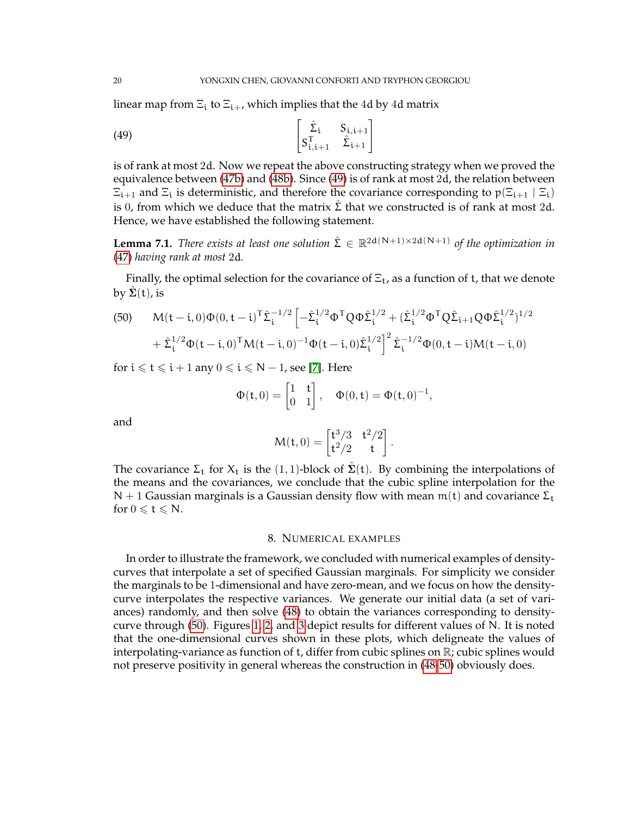linear map from  $\Xi_i$  to  $\Xi_{i+}$ , which implies that the 4d by 4d matrix

<span id="page-19-1"></span>(49) 
$$
\begin{bmatrix} \hat{\Sigma}_{i} & S_{i,i+1} \\ S_{i,i+1}^T & \hat{\Sigma}_{i+1} \end{bmatrix}
$$

is of rank at most 2d. Now we repeat the above constructing strategy when we proved the equivalence between [\(47b\)](#page-18-0) and [\(48b\)](#page-18-1). Since [\(49\)](#page-19-1) is of rank at most 2d, the relation between  $\Xi_{i+1}$  and  $\Xi_i$  is deterministic, and therefore the covariance corresponding to  $p(\Xi_{i+1} | \Xi_i)$ is 0, from which we deduce that the matrix  $\hat{\Sigma}$  that we constructed is of rank at most 2d. Hence, we have established the following statement.

**Lemma 7.1.** *There exists at least one solution*  $\hat{\Sigma} \in \mathbb{R}^{2d(N+1)\times 2d(N+1)}$  *of the optimization in* [\(47\)](#page-18-3) *having rank at most* 2d*.*

Finally, the optimal selection for the covariance of  $\Xi_t$ , as a function of t, that we denote by  $\tilde{\Sigma}(t)$ , is

<span id="page-19-2"></span>(50) 
$$
M(t - i, 0)\Phi(0, t - i)^{T}\hat{\Sigma}_{i}^{-1/2} \left[ -\hat{\Sigma}_{i}^{1/2}\Phi^{T}Q\Phi\hat{\Sigma}_{i}^{1/2} + (\hat{\Sigma}_{i}^{1/2}\Phi^{T}Q\hat{\Sigma}_{i+1}QQ\hat{\Sigma}_{i}^{1/2})^{1/2} + \hat{\Sigma}_{i}^{1/2}\Phi(t - i, 0)^{T}M(t - i, 0)^{-1}\Phi(t - i, 0)\hat{\Sigma}_{i}^{1/2}\right]^{2}\hat{\Sigma}_{i}^{-1/2}\Phi(0, t - i)M(t - i, 0)
$$

for  $i \leq t \leq i + 1$  any  $0 \leq i \leq N - 1$ , see [\[7\]](#page-21-12). Here

$$
\Phi(\mathsf{t},0) = \begin{bmatrix} 1 & \mathsf{t} \\ 0 & 1 \end{bmatrix}, \quad \Phi(0,\mathsf{t}) = \Phi(\mathsf{t},0)^{-1},
$$

and

$$
M(t,0) = \begin{bmatrix} t^3/3 & t^2/2 \\ t^2/2 & t \end{bmatrix}.
$$

The covariance  $\Sigma_t$  for  $X_t$  is the  $(1, 1)$ -block of  $\Sigma(t)$ . By combining the interpolations of the means and the covariances, we conclude that the cubic spline interpolation for the N + 1 Gaussian marginals is a Gaussian density flow with mean  $m(t)$  and covariance  $\Sigma_t$ for  $0 \leqslant t \leqslant N$ .

## 8. NUMERICAL EXAMPLES

<span id="page-19-0"></span>In order to illustrate the framework, we concluded with numerical examples of densitycurves that interpolate a set of specified Gaussian marginals. For simplicity we consider the marginals to be 1-dimensional and have zero-mean, and we focus on how the densitycurve interpolates the respective variances. We generate our initial data (a set of variances) randomly, and then solve [\(48\)](#page-18-2) to obtain the variances corresponding to densitycurve through [\(50\)](#page-19-2). Figures [1,](#page-20-5) [2,](#page-20-6) and [3](#page-21-13) depict results for different values of N. It is noted that the one-dimensional curves shown in these plots, which deligneate the values of interpolating-variance as function of t, differ from cubic splines on  $\mathbb R$ ; cubic splines would not preserve positivity in general whereas the construction in [\(48-](#page-18-2)[50\)](#page-19-2) obviously does.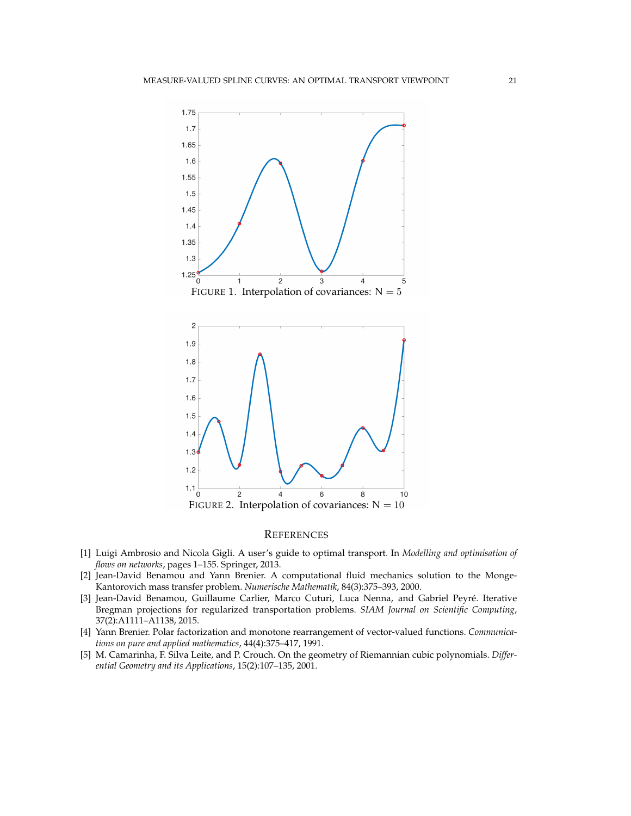<span id="page-20-6"></span><span id="page-20-5"></span>

#### **REFERENCES**

- <span id="page-20-0"></span>[1] Luigi Ambrosio and Nicola Gigli. A user's guide to optimal transport. In *Modelling and optimisation of flows on networks*, pages 1–155. Springer, 2013.
- <span id="page-20-2"></span>[2] Jean-David Benamou and Yann Brenier. A computational fluid mechanics solution to the Monge-Kantorovich mass transfer problem. *Numerische Mathematik*, 84(3):375–393, 2000.
- <span id="page-20-1"></span>[3] Jean-David Benamou, Guillaume Carlier, Marco Cuturi, Luca Nenna, and Gabriel Peyre. Iterative ´ Bregman projections for regularized transportation problems. *SIAM Journal on Scientific Computing*, 37(2):A1111–A1138, 2015.
- <span id="page-20-4"></span>[4] Yann Brenier. Polar factorization and monotone rearrangement of vector-valued functions. *Communications on pure and applied mathematics*, 44(4):375–417, 1991.
- <span id="page-20-3"></span>[5] M. Camarinha, F. Silva Leite, and P. Crouch. On the geometry of Riemannian cubic polynomials. *Differential Geometry and its Applications*, 15(2):107–135, 2001.